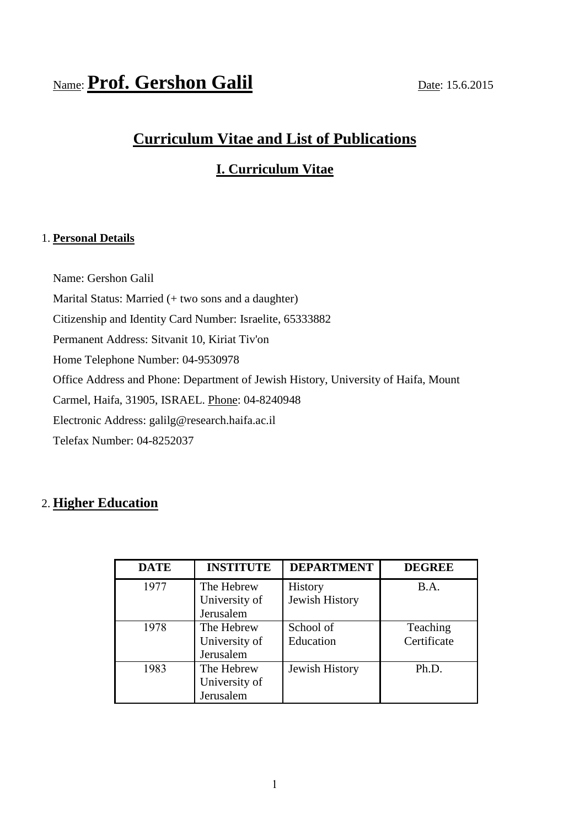# Name: **Prof. Gershon Galil** Date: 15.6.2015

# **Curriculum Vitae and List of Publications**

# **I. Curriculum Vitae**

# 1. **Personal Details**

Name: Gershon Galil Marital Status: Married (+ two sons and a daughter) Citizenship and Identity Card Number: Israelite, 65333882 Permanent Address: Sitvanit 10, Kiriat Tiv'on Home Telephone Number: 04-9530978 Office Address and Phone: Department of Jewish History, University of Haifa, Mount Carmel, Haifa, 31905, ISRAEL. Phone: 04-8240948 Electronic Address: galilg@research.haifa.ac.il Telefax Number: 04-8252037

# 2. **Higher Education**

| <b>DATE</b> | <b>INSTITUTE</b> | <b>DEPARTMENT</b> | <b>DEGREE</b> |
|-------------|------------------|-------------------|---------------|
| 1977        | The Hebrew       | History           | <b>B.A.</b>   |
|             | University of    | Jewish History    |               |
|             | Jerusalem        |                   |               |
| 1978        | The Hebrew       | School of         | Teaching      |
|             | University of    | Education         | Certificate   |
|             | Jerusalem        |                   |               |
| 1983        | The Hebrew       | Jewish History    | Ph.D.         |
|             | University of    |                   |               |
|             | Jerusalem        |                   |               |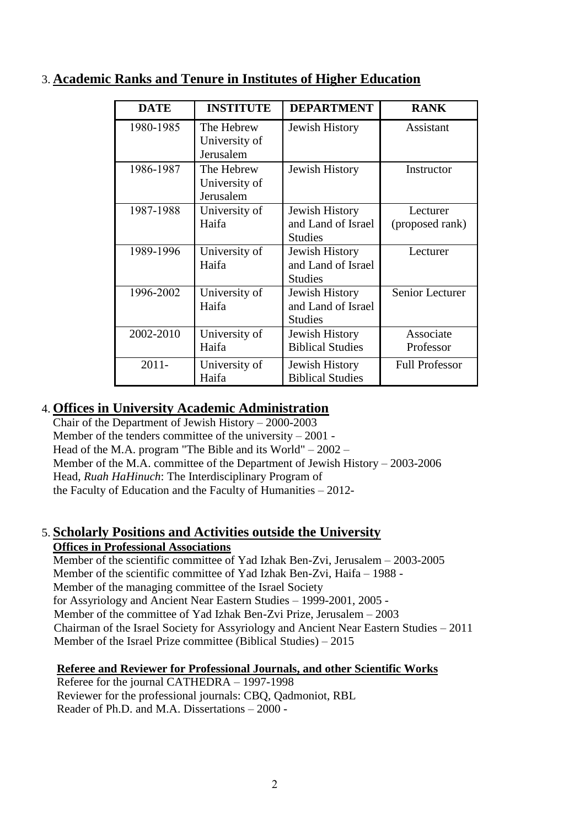| <b>DATE</b> | <b>INSTITUTE</b>                         | <b>DEPARTMENT</b>                                      | <b>RANK</b>                 |
|-------------|------------------------------------------|--------------------------------------------------------|-----------------------------|
| 1980-1985   | The Hebrew<br>University of<br>Jerusalem | Jewish History                                         | Assistant                   |
| 1986-1987   | The Hebrew<br>University of<br>Jerusalem | Jewish History                                         | Instructor                  |
| 1987-1988   | University of<br>Haifa                   | Jewish History<br>and Land of Israel<br><b>Studies</b> | Lecturer<br>(proposed rank) |
| 1989-1996   | University of<br>Haifa                   | Jewish History<br>and Land of Israel<br><b>Studies</b> | Lecturer                    |
| 1996-2002   | University of<br>Haifa                   | Jewish History<br>and Land of Israel<br><b>Studies</b> | Senior Lecturer             |
| 2002-2010   | University of<br>Haifa                   | Jewish History<br><b>Biblical Studies</b>              | Associate<br>Professor      |
| $2011 -$    | University of<br>Haifa                   | Jewish History<br><b>Biblical Studies</b>              | <b>Full Professor</b>       |

# 3. **Academic Ranks and Tenure in Institutes of Higher Education**

# 4. **Offices in University Academic Administration**

Chair of the Department of Jewish History – 2000-2003 Member of the tenders committee of the university  $-2001$  -Head of the M.A. program "The Bible and its World" – 2002 – Member of the M.A. committee of the Department of Jewish History – 2003-2006 Head, *Ruah HaHinuch*: The Interdisciplinary Program of the Faculty of Education and the Faculty of Humanities – 2012-

# 5. **Scholarly Positions and Activities outside the University**

# **Offices in Professional Associations**

Member of the scientific committee of Yad Izhak Ben-Zvi, Jerusalem – 2003-2005 Member of the scientific committee of Yad Izhak Ben-Zvi, Haifa – 1988 - Member of the managing committee of the Israel Society for Assyriology and Ancient Near Eastern Studies – 1999-2001, 2005 - Member of the committee of Yad Izhak Ben-Zvi Prize, Jerusalem – 2003 Chairman of the Israel Society for Assyriology and Ancient Near Eastern Studies – 2011 Member of the Israel Prize committee (Biblical Studies) – 2015

# **Referee and Reviewer for Professional Journals, and other Scientific Works**

 Referee for the journal CATHEDRA – 1997-1998 Reviewer for the professional journals: CBQ, Qadmoniot, RBL Reader of Ph.D. and M.A. Dissertations – 2000 -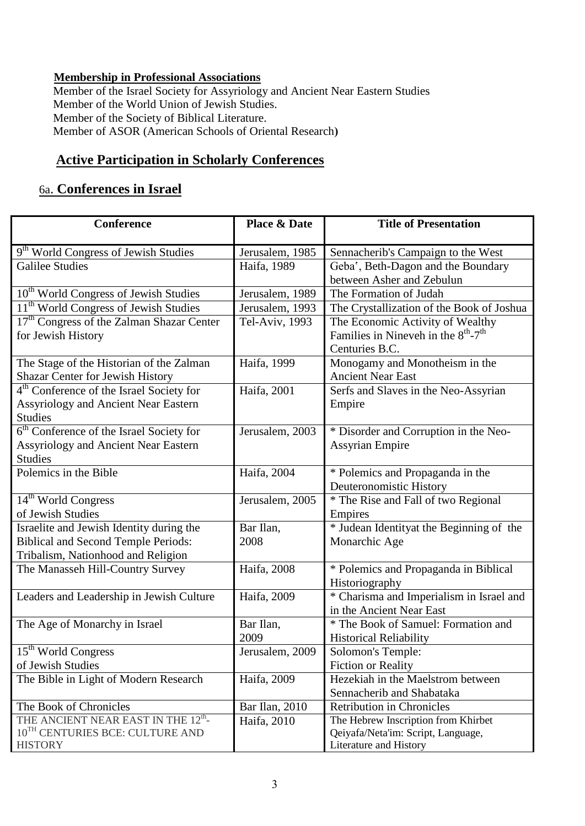# **Membership in Professional Associations**

Member of the Israel Society for Assyriology and Ancient Near Eastern Studies Member of the World Union of Jewish Studies. Member of the Society of Biblical Literature. Member of ASOR (American Schools of Oriental Research)

# **Active Participation in Scholarly Conferences**

# 6a. **Conferences in Israel**

| Conference                                            | <b>Place &amp; Date</b> | <b>Title of Presentation</b>                                |
|-------------------------------------------------------|-------------------------|-------------------------------------------------------------|
|                                                       |                         |                                                             |
| 9 <sup>th</sup> World Congress of Jewish Studies      | Jerusalem, 1985         | Sennacherib's Campaign to the West                          |
| <b>Galilee Studies</b>                                | Haifa, 1989             | Geba', Beth-Dagon and the Boundary                          |
|                                                       |                         | between Asher and Zebulun                                   |
| 10 <sup>th</sup> World Congress of Jewish Studies     | Jerusalem, 1989         | The Formation of Judah                                      |
| 11 <sup>th</sup> World Congress of Jewish Studies     | Jerusalem, 1993         | The Crystallization of the Book of Joshua                   |
| 17 <sup>th</sup> Congress of the Zalman Shazar Center | Tel-Aviv, 1993          | The Economic Activity of Wealthy                            |
| for Jewish History                                    |                         | Families in Nineveh in the $8^{\text{th}}$ -7 <sup>th</sup> |
|                                                       |                         | Centuries B.C.                                              |
| The Stage of the Historian of the Zalman              | Haifa, 1999             | Monogamy and Monotheism in the                              |
| Shazar Center for Jewish History                      |                         | <b>Ancient Near East</b>                                    |
| 4 <sup>th</sup> Conference of the Israel Society for  | Haifa, 2001             | Serfs and Slaves in the Neo-Assyrian                        |
| <b>Assyriology and Ancient Near Eastern</b>           |                         | Empire                                                      |
| <b>Studies</b>                                        |                         |                                                             |
| 6 <sup>th</sup> Conference of the Israel Society for  | Jerusalem, 2003         | * Disorder and Corruption in the Neo-                       |
| <b>Assyriology and Ancient Near Eastern</b>           |                         | <b>Assyrian Empire</b>                                      |
| <b>Studies</b>                                        |                         |                                                             |
| Polemics in the Bible                                 | Haifa, 2004             | * Polemics and Propaganda in the                            |
|                                                       |                         | Deuteronomistic History                                     |
| 14 <sup>th</sup> World Congress                       | Jerusalem, 2005         | * The Rise and Fall of two Regional                         |
| of Jewish Studies                                     |                         | Empires                                                     |
| Israelite and Jewish Identity during the              | Bar Ilan,               | * Judean Identity at the Beginning of the                   |
| <b>Biblical and Second Temple Periods:</b>            | 2008                    | Monarchic Age                                               |
| Tribalism, Nationhood and Religion                    |                         |                                                             |
| The Manasseh Hill-Country Survey                      | Haifa, 2008             | * Polemics and Propaganda in Biblical                       |
|                                                       |                         | Historiography                                              |
| Leaders and Leadership in Jewish Culture              | Haifa, 2009             | * Charisma and Imperialism in Israel and                    |
|                                                       |                         | in the Ancient Near East                                    |
| The Age of Monarchy in Israel                         | Bar Ilan,               | * The Book of Samuel: Formation and                         |
|                                                       | 2009                    | <b>Historical Reliability</b>                               |
| 15 <sup>th</sup> World Congress                       | Jerusalem, 2009         | Solomon's Temple:                                           |
| of Jewish Studies                                     |                         | <b>Fiction or Reality</b>                                   |
| The Bible in Light of Modern Research                 | Haifa, 2009             | Hezekiah in the Maelstrom between                           |
|                                                       |                         | Sennacherib and Shabataka                                   |
| The Book of Chronicles                                | Bar Ilan, 2010          | <b>Retribution in Chronicles</b>                            |
| THE ANCIENT NEAR EAST IN THE 12 <sup>th</sup> -       | Haifa, 2010             | The Hebrew Inscription from Khirbet                         |
| 10 <sup>TH</sup> CENTURIES BCE: CULTURE AND           |                         | Qeiyafa/Neta'im: Script, Language,                          |
| <b>HISTORY</b>                                        |                         | Literature and History                                      |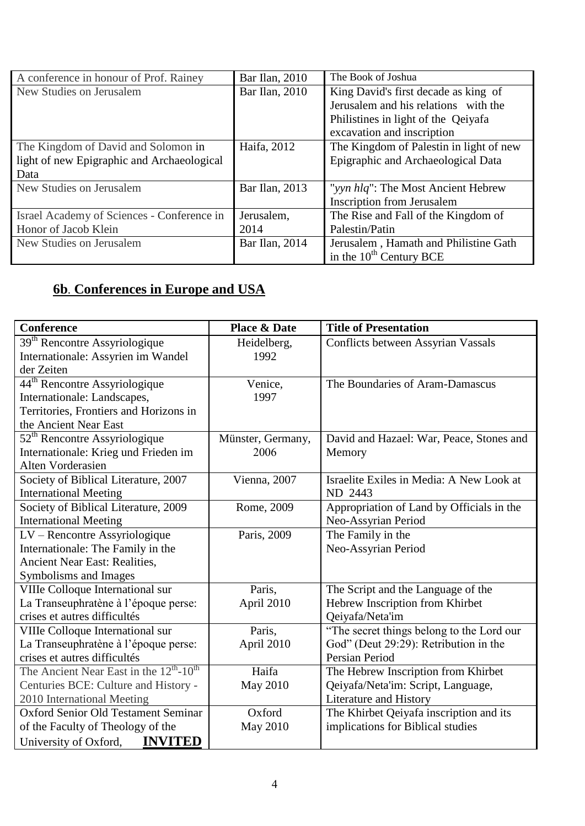| A conference in honour of Prof. Rainey     | Bar Ilan, 2010 | The Book of Joshua                      |  |
|--------------------------------------------|----------------|-----------------------------------------|--|
| New Studies on Jerusalem                   | Bar Ilan, 2010 | King David's first decade as king of    |  |
|                                            |                | Jerusalem and his relations with the    |  |
|                                            |                | Philistines in light of the Qeiyafa     |  |
|                                            |                | excavation and inscription              |  |
| The Kingdom of David and Solomon in        | Haifa, 2012    | The Kingdom of Palestin in light of new |  |
| light of new Epigraphic and Archaeological |                | Epigraphic and Archaeological Data      |  |
| Data                                       |                |                                         |  |
| New Studies on Jerusalem                   | Bar Ilan, 2013 | "yyn hlq": The Most Ancient Hebrew      |  |
|                                            |                | <b>Inscription from Jerusalem</b>       |  |
| Israel Academy of Sciences - Conference in | Jerusalem,     | The Rise and Fall of the Kingdom of     |  |
| Honor of Jacob Klein                       | 2014           | Palestin/Patin                          |  |
| New Studies on Jerusalem                   | Bar Ilan, 2014 | Jerusalem, Hamath and Philistine Gath   |  |
|                                            |                | in the $10^{th}$ Century BCE            |  |

# **6b**. **Conferences in Europe and USA**

| <b>Conference</b>                                               | <b>Place &amp; Date</b> | <b>Title of Presentation</b>              |
|-----------------------------------------------------------------|-------------------------|-------------------------------------------|
| 39 <sup>th</sup> Rencontre Assyriologique                       | Heidelberg,             | <b>Conflicts between Assyrian Vassals</b> |
| Internationale: Assyrien im Wandel                              | 1992                    |                                           |
| der Zeiten                                                      |                         |                                           |
| 44 <sup>th</sup> Rencontre Assyriologique                       | Venice,                 | The Boundaries of Aram-Damascus           |
| Internationale: Landscapes,                                     | 1997                    |                                           |
| Territories, Frontiers and Horizons in                          |                         |                                           |
| the Ancient Near East                                           |                         |                                           |
| $52th$ Rencontre Assyriologique                                 | Münster, Germany,       | David and Hazael: War, Peace, Stones and  |
| Internationale: Krieg und Frieden im                            | 2006                    | Memory                                    |
| Alten Vorderasien                                               |                         |                                           |
| Society of Biblical Literature, 2007                            | Vienna, 2007            | Israelite Exiles in Media: A New Look at  |
| <b>International Meeting</b>                                    |                         | ND 2443                                   |
| Society of Biblical Literature, 2009                            | Rome, 2009              | Appropriation of Land by Officials in the |
| <b>International Meeting</b>                                    |                         | Neo-Assyrian Period                       |
| LV - Rencontre Assyriologique                                   | Paris, 2009             | The Family in the                         |
| Internationale: The Family in the                               |                         | Neo-Assyrian Period                       |
| <b>Ancient Near East: Realities,</b>                            |                         |                                           |
| Symbolisms and Images                                           |                         |                                           |
| VIIIe Colloque International sur                                | Paris,                  | The Script and the Language of the        |
| La Transeuphratène à l'époque perse:                            | April 2010              | Hebrew Inscription from Khirbet           |
| crises et autres difficultés                                    |                         | Qeiyafa/Neta'im                           |
| VIIIe Colloque International sur                                | Paris,                  | "The secret things belong to the Lord our |
| La Transeuphratène à l'époque perse:                            | April 2010              | God" (Deut 29:29): Retribution in the     |
| crises et autres difficultés                                    |                         | Persian Period                            |
| The Ancient Near East in the $12^{\text{th}}$ -10 <sup>th</sup> | Haifa                   | The Hebrew Inscription from Khirbet       |
| Centuries BCE: Culture and History -                            | <b>May 2010</b>         | Qeiyafa/Neta'im: Script, Language,        |
| 2010 International Meeting                                      |                         | Literature and History                    |
| <b>Oxford Senior Old Testament Seminar</b>                      | Oxford                  | The Khirbet Qeiyafa inscription and its   |
| of the Faculty of Theology of the                               | May 2010                | implications for Biblical studies         |
| <b>INVITED</b><br>University of Oxford,                         |                         |                                           |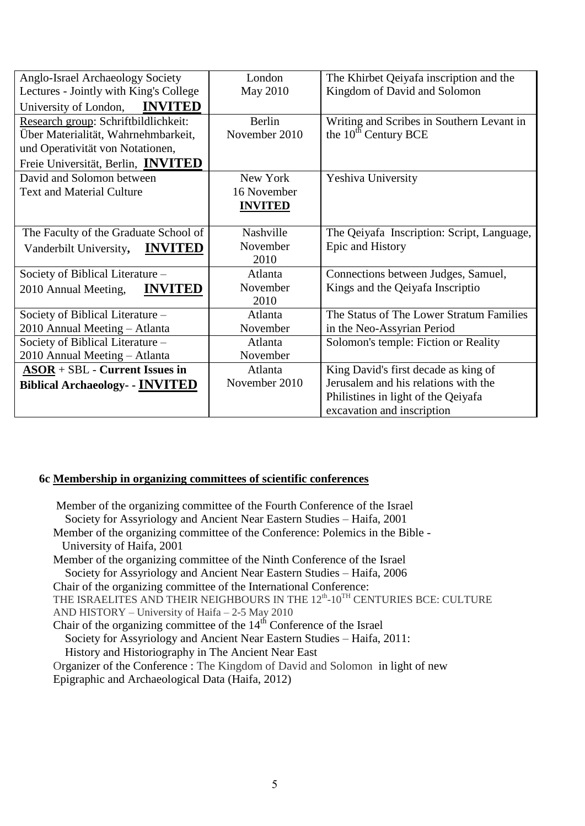| Anglo-Israel Archaeology Society         | London         | The Khirbet Qeiyafa inscription and the    |
|------------------------------------------|----------------|--------------------------------------------|
| Lectures - Jointly with King's College   | May 2010       | Kingdom of David and Solomon               |
| <b>INVITED</b><br>University of London,  |                |                                            |
| Research group: Schriftbildlichkeit:     | Berlin         | Writing and Scribes in Southern Levant in  |
| Über Materialität, Wahrnehmbarkeit,      | November 2010  | the 10 <sup>th</sup> Century BCE           |
| und Operativität von Notationen,         |                |                                            |
| Freie Universität, Berlin, INVITED       |                |                                            |
| David and Solomon between                | New York       | Yeshiva University                         |
| <b>Text and Material Culture</b>         | 16 November    |                                            |
|                                          | <b>INVITED</b> |                                            |
|                                          |                |                                            |
| The Faculty of the Graduate School of    | Nashville      | The Qeiyafa Inscription: Script, Language, |
| <b>INVITED</b><br>Vanderbilt University, | November       | Epic and History                           |
|                                          | 2010           |                                            |
| Society of Biblical Literature -         | Atlanta        | Connections between Judges, Samuel,        |
| <b>INVITED</b><br>2010 Annual Meeting,   | November       | Kings and the Qeiyafa Inscriptio           |
|                                          | 2010           |                                            |
| Society of Biblical Literature -         | Atlanta        | The Status of The Lower Stratum Families   |
| 2010 Annual Meeting - Atlanta            | November       | in the Neo-Assyrian Period                 |
| Society of Biblical Literature -         | Atlanta        | Solomon's temple: Fiction or Reality       |
| 2010 Annual Meeting - Atlanta            | November       |                                            |
| $ASOR + SBL$ - Current Issues in         | Atlanta        | King David's first decade as king of       |
| <b>Biblical Archaeology- - INVITED</b>   | November 2010  | Jerusalem and his relations with the       |
|                                          |                | Philistines in light of the Qeiyafa        |
|                                          |                | excavation and inscription                 |

# **6c Membership in organizing committees of scientific conferences**

Member of the organizing committee of the Fourth Conference of the Israel Society for Assyriology and Ancient Near Eastern Studies – Haifa, 2001 Member of the organizing committee of the Conference: Polemics in the Bible - University of Haifa, 2001 Member of the organizing committee of the Ninth Conference of the Israel Society for Assyriology and Ancient Near Eastern Studies – Haifa, 2006 Chair of the organizing committee of the International Conference: THE ISRAELITES AND THEIR NEIGHBOURS IN THE  $12^{\rm th}\text{-}10^{\rm TH}$  CENTURIES BCE: CULTURE AND HISTORY – University of Haifa – 2-5 May 2010 Chair of the organizing committee of the 14<sup>th</sup> Conference of the Israel Society for Assyriology and Ancient Near Eastern Studies – Haifa, 2011: History and Historiography in The Ancient Near East Organizer of the Conference : The Kingdom of David and Solomon in light of new Epigraphic and Archaeological Data (Haifa, 2012)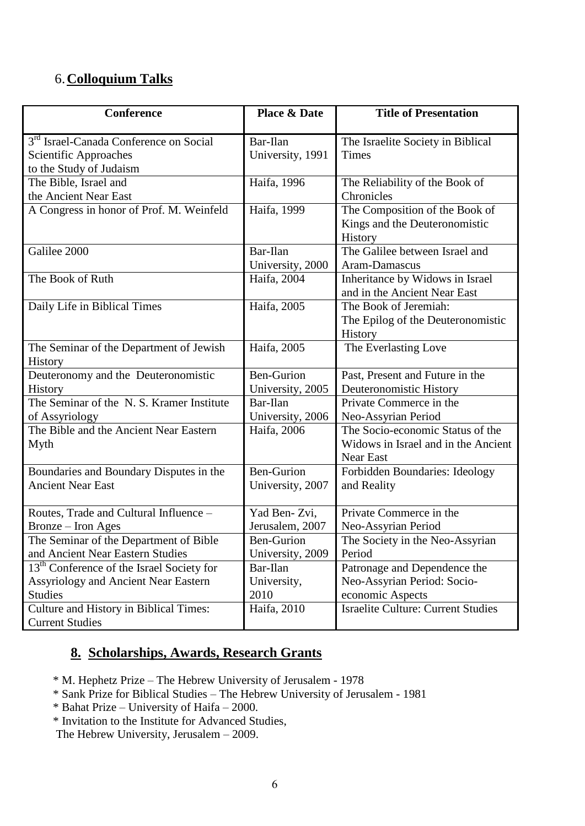# 6.**Colloquium Talks**

| Conference                                                                                                      | <b>Place &amp; Date</b>               | <b>Title of Presentation</b>                                                                |
|-----------------------------------------------------------------------------------------------------------------|---------------------------------------|---------------------------------------------------------------------------------------------|
| 3 <sup>rd</sup> Israel-Canada Conference on Social<br><b>Scientific Approaches</b><br>to the Study of Judaism   | Bar-Ilan<br>University, 1991          | The Israelite Society in Biblical<br><b>Times</b>                                           |
| The Bible, Israel and<br>the Ancient Near East                                                                  | Haifa, 1996                           | The Reliability of the Book of<br>Chronicles                                                |
| A Congress in honor of Prof. M. Weinfeld                                                                        | Haifa, 1999                           | The Composition of the Book of<br>Kings and the Deuteronomistic<br>History                  |
| Galilee 2000                                                                                                    | Bar-Ilan<br>University, 2000          | The Galilee between Israel and<br>Aram-Damascus                                             |
| The Book of Ruth                                                                                                | Haifa, 2004                           | Inheritance by Widows in Israel<br>and in the Ancient Near East                             |
| Daily Life in Biblical Times                                                                                    | Haifa, 2005                           | The Book of Jeremiah:<br>The Epilog of the Deuteronomistic<br>History                       |
| The Seminar of the Department of Jewish<br>History                                                              | Haifa, 2005                           | The Everlasting Love                                                                        |
| Deuteronomy and the Deuteronomistic<br>History                                                                  | <b>Ben-Gurion</b><br>University, 2005 | Past, Present and Future in the<br>Deuteronomistic History                                  |
| The Seminar of the N.S. Kramer Institute<br>of Assyriology                                                      | Bar-Ilan<br>University, 2006          | Private Commerce in the<br>Neo-Assyrian Period                                              |
| The Bible and the Ancient Near Eastern<br>Myth                                                                  | Haifa, 2006                           | The Socio-economic Status of the<br>Widows in Israel and in the Ancient<br><b>Near East</b> |
| Boundaries and Boundary Disputes in the<br><b>Ancient Near East</b>                                             | <b>Ben-Gurion</b><br>University, 2007 | Forbidden Boundaries: Ideology<br>and Reality                                               |
| Routes, Trade and Cultural Influence -<br>Bronze - Iron Ages                                                    | Yad Ben-Zvi,<br>Jerusalem, 2007       | Private Commerce in the<br>Neo-Assyrian Period                                              |
| The Seminar of the Department of Bible<br>and Ancient Near Eastern Studies                                      | Ben-Gurion<br>University, 2009        | The Society in the Neo-Assyrian<br>Period                                                   |
| 13 <sup>th</sup> Conference of the Israel Society for<br>Assyriology and Ancient Near Eastern<br><b>Studies</b> | Bar-Ilan<br>University,<br>2010       | Patronage and Dependence the<br>Neo-Assyrian Period: Socio-<br>economic Aspects             |
| Culture and History in Biblical Times:<br><b>Current Studies</b>                                                | Haifa, 2010                           | <b>Israelite Culture: Current Studies</b>                                                   |

# **8. Scholarships, Awards, Research Grants**

\* M. Hephetz Prize – The Hebrew University of Jerusalem - 1978

\* Sank Prize for Biblical Studies – The Hebrew University of Jerusalem - 1981

\* Bahat Prize – University of Haifa – 2000.

\* Invitation to the Institute for Advanced Studies,

The Hebrew University, Jerusalem – 2009.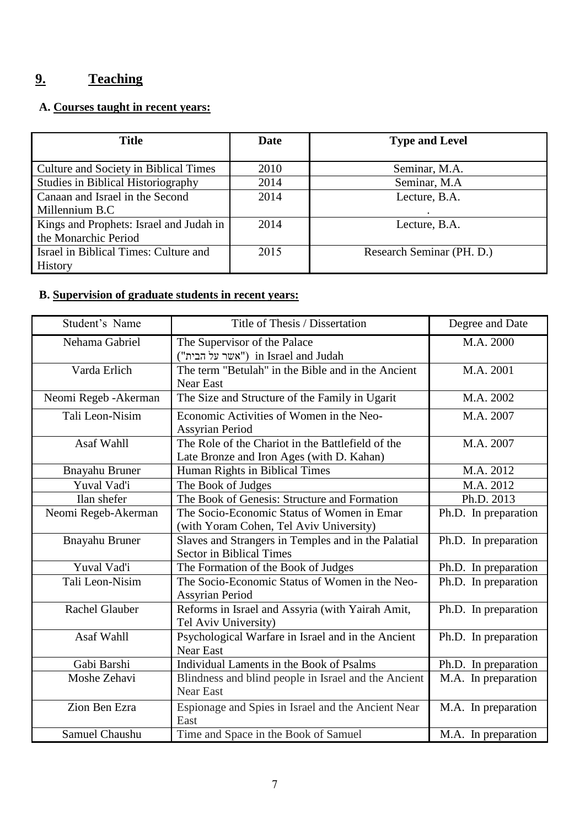# **9. Teaching**

# **A. Courses taught in recent years:**

| <b>Title</b>                            | <b>Date</b> | <b>Type and Level</b>     |  |
|-----------------------------------------|-------------|---------------------------|--|
|                                         |             |                           |  |
| Culture and Society in Biblical Times   | 2010        | Seminar, M.A.             |  |
| Studies in Biblical Historiography      | 2014        | Seminar, M.A.             |  |
| Canaan and Israel in the Second         | 2014        | Lecture, B.A.             |  |
| Millennium B.C                          |             |                           |  |
| Kings and Prophets: Israel and Judah in | 2014        | Lecture, B.A.             |  |
| the Monarchic Period                    |             |                           |  |
| Israel in Biblical Times: Culture and   | 2015        | Research Seminar (PH. D.) |  |
| <b>History</b>                          |             |                           |  |

# **B. Supervision of graduate students in recent years:**

| Student's Name        | Title of Thesis / Dissertation                                                                 | Degree and Date      |
|-----------------------|------------------------------------------------------------------------------------------------|----------------------|
| Nehama Gabriel        | The Supervisor of the Palace<br>("אשר על הבית") in Israel and Judah                            | M.A. 2000            |
| Varda Erlich          | The term "Betulah" in the Bible and in the Ancient<br><b>Near East</b>                         | M.A. 2001            |
| Neomi Regeb - Akerman | The Size and Structure of the Family in Ugarit                                                 | M.A. 2002            |
| Tali Leon-Nisim       | Economic Activities of Women in the Neo-<br><b>Assyrian Period</b>                             | M.A. 2007            |
| Asaf Wahll            | The Role of the Chariot in the Battlefield of the<br>Late Bronze and Iron Ages (with D. Kahan) | M.A. 2007            |
| Bnayahu Bruner        | Human Rights in Biblical Times                                                                 | M.A. 2012            |
| Yuval Vad'i           | The Book of Judges                                                                             | M.A. 2012            |
| Ilan shefer           | The Book of Genesis: Structure and Formation                                                   | Ph.D. 2013           |
| Neomi Regeb-Akerman   | The Socio-Economic Status of Women in Emar<br>(with Yoram Cohen, Tel Aviv University)          | Ph.D. In preparation |
| <b>Bnayahu Bruner</b> | Slaves and Strangers in Temples and in the Palatial<br><b>Sector in Biblical Times</b>         | Ph.D. In preparation |
| Yuval Vad'i           | The Formation of the Book of Judges                                                            | Ph.D. In preparation |
| Tali Leon-Nisim       | The Socio-Economic Status of Women in the Neo-<br><b>Assyrian Period</b>                       | Ph.D. In preparation |
| <b>Rachel Glauber</b> | Reforms in Israel and Assyria (with Yairah Amit,<br>Tel Aviv University)                       | Ph.D. In preparation |
| Asaf Wahll            | Psychological Warfare in Israel and in the Ancient<br><b>Near East</b>                         | Ph.D. In preparation |
| Gabi Barshi           | Individual Laments in the Book of Psalms                                                       | Ph.D. In preparation |
| Moshe Zehavi          | Blindness and blind people in Israel and the Ancient<br><b>Near East</b>                       | M.A. In preparation  |
| Zion Ben Ezra         | Espionage and Spies in Israel and the Ancient Near<br>East                                     | M.A. In preparation  |
| Samuel Chaushu        | Time and Space in the Book of Samuel                                                           | M.A. In preparation  |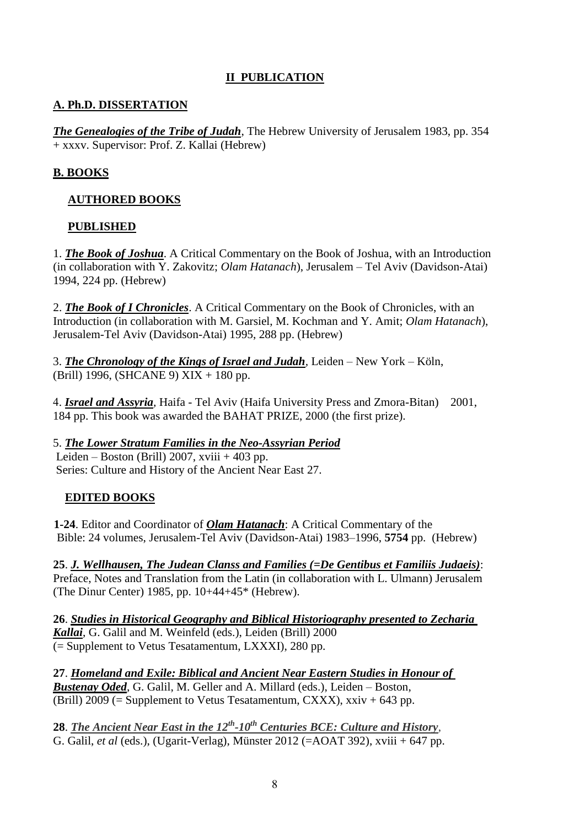# **II PUBLICATION**

# **A. Ph.D. DISSERTATION**

*The Genealogies of the Tribe of Judah*, The Hebrew University of Jerusalem 1983, pp. 354 + xxxv. Supervisor: Prof. Z. Kallai (Hebrew)

# **B. BOOKS**

# **AUTHORED BOOKS**

# **PUBLISHED**

1. *The Book of Joshua*. A Critical Commentary on the Book of Joshua, with an Introduction (in collaboration with Y. Zakovitz; *Olam Hatanach*), Jerusalem – Tel Aviv (Davidson-Atai) 1994, 224 pp. (Hebrew)

2. *The Book of I Chronicles*. A Critical Commentary on the Book of Chronicles, with an Introduction (in collaboration with M. Garsiel, M. Kochman and Y. Amit; *Olam Hatanach*), Jerusalem-Tel Aviv (Davidson-Atai) 1995, 288 pp. (Hebrew)

3. *The Chronology of the Kings of Israel and Judah,* Leiden – New York – Köln, (Brill) 1996, (SHCANE 9) XIX + 180 pp.

4. *Israel and Assyria,* Haifa - Tel Aviv (Haifa University Press and Zmora-Bitan) 2001, 184 pp. This book was awarded the BAHAT PRIZE, 2000 (the first prize).

5. *The Lower Stratum Families in the Neo-Assyrian Period* Leiden – Boston (Brill) 2007, xviii + 403 pp. Series: Culture and History of the Ancient Near East 27.

# **EDITED BOOKS**

 **1-24**. Editor and Coordinator of *Olam Hatanach*: A Critical Commentary of the Bible: 24 volumes, Jerusalem-Tel Aviv (Davidson-Atai) 1983–1996, **5754** pp. (Hebrew)

**25**. *J. Wellhausen, The Judean Clanss and Families (=De Gentibus et Familiis Judaeis)*: Preface, Notes and Translation from the Latin (in collaboration with L. Ulmann) Jerusalem (The Dinur Center) 1985, pp. 10+44+45\* (Hebrew).

**26**. *Studies in Historical Geography and Biblical Historiography presented to Zecharia Kallai*, G. Galil and M. Weinfeld (eds.), Leiden (Brill) 2000 (= Supplement to Vetus Tesatamentum, LXXXI), 280 pp.

**27**. *Homeland and Exile: Biblical and Ancient Near Eastern Studies in Honour of Bustenay Oded*, G. Galil, M. Geller and A. Millard (eds.), Leiden – Boston, (Brill) 2009 (= Supplement to Vetus Tesatamentum, CXXX),  $xxiv + 643$  pp.

28. The Ancient Near East in the 12<sup>th</sup>-10<sup>th</sup> Centuries BCE: Culture and History, G. Galil, *et al* (eds.), (Ugarit-Verlag), Münster 2012 (=AOAT 392), xviii + 647 pp.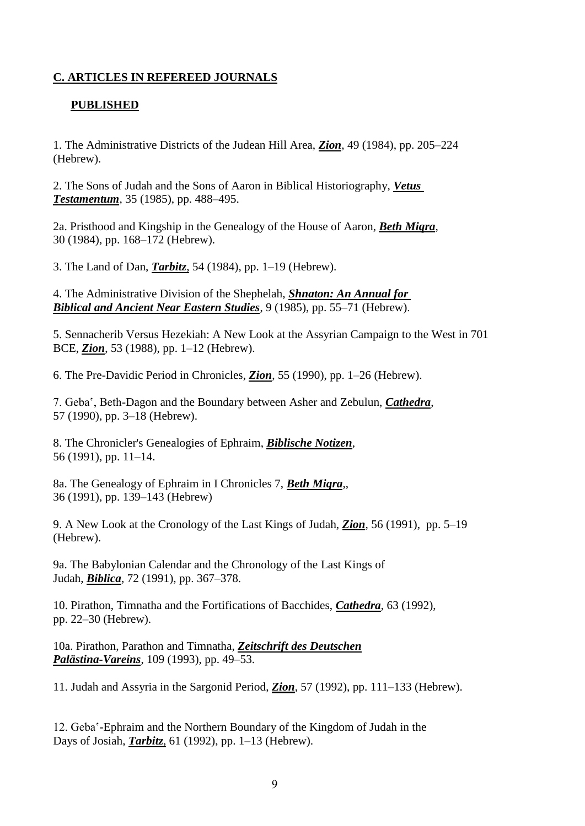# **C. ARTICLES IN REFEREED JOURNALS**

### **PUBLISHED**

1. The Administrative Districts of the Judean Hill Area, *Zion*, 49 (1984), pp. 205–224 (Hebrew).

2. The Sons of Judah and the Sons of Aaron in Biblical Historiography, *Vetus Testamentum*, 35 (1985), pp. 488–495.

2a. Pristhood and Kingship in the Genealogy of the House of Aaron, *Beth Miqra*, 30 (1984), pp. 168–172 (Hebrew).

3. The Land of Dan, *Tarbitz*, 54 (1984), pp. 1–19 (Hebrew).

4. The Administrative Division of the Shephelah, *Shnaton: An Annual for Biblical and Ancient Near Eastern Studies*, 9 (1985), pp. 55–71 (Hebrew).

5. Sennacherib Versus Hezekiah: A New Look at the Assyrian Campaign to the West in 701 BCE, *Zion*, 53 (1988), pp. 1–12 (Hebrew).

6. The Pre-Davidic Period in Chronicles, *Zion*, 55 (1990), pp. 1–26 (Hebrew).

7. Geba', Beth-Dagon and the Boundary between Asher and Zebulun, *Cathedra*, 57 (1990), pp. 3–18 (Hebrew).

8. The Chronicler's Genealogies of Ephraim, *Biblische Notizen*, 56 (1991), pp. 11–14.

8a. The Genealogy of Ephraim in I Chronicles 7, *Beth Miqra*,, 36 (1991), pp. 139–143 (Hebrew)

9. A New Look at the Cronology of the Last Kings of Judah, *Zion*, 56 (1991), pp. 5–19 (Hebrew).

9a. The Babylonian Calendar and the Chronology of the Last Kings of Judah, *Biblica*, 72 (1991), pp. 367–378.

10. Pirathon, Timnatha and the Fortifications of Bacchides, *Cathedra*, 63 (1992), pp. 22–30 (Hebrew).

10a. Pirathon, Parathon and Timnatha, *Zeitschrift des Deutschen Palästina-Vareins*, 109 (1993), pp. 49–53.

11. Judah and Assyria in the Sargonid Period, *Zion*, 57 (1992), pp. 111–133 (Hebrew).

12. Geba'-Ephraim and the Northern Boundary of the Kingdom of Judah in the Days of Josiah, *Tarbitz*, 61 (1992), pp. 1–13 (Hebrew).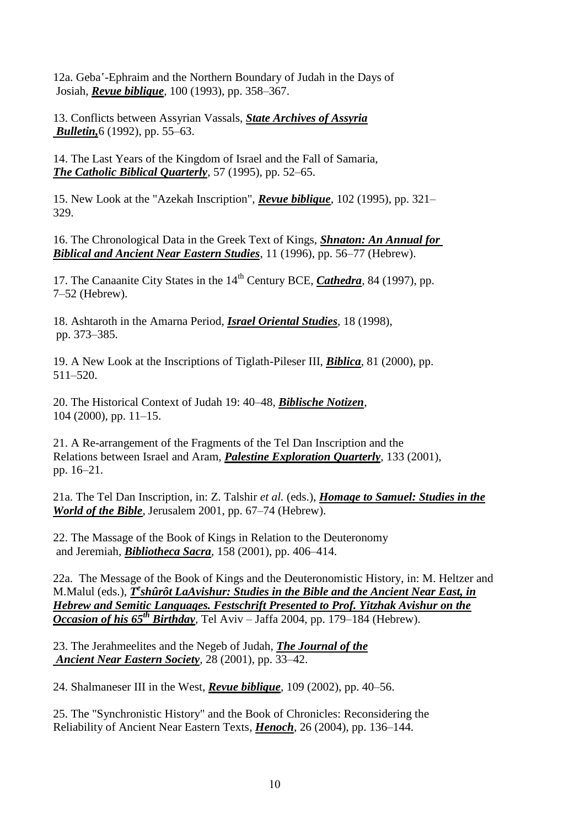12a. Geba'-Ephraim and the Northern Boundary of Judah in the Days of Josiah, *Revue biblique*, 100 (1993), pp. 358–367.

13. Conflicts between Assyrian Vassals, *State Archives of Assyria Bulletin,*6 (1992), pp. 55–63.

14. The Last Years of the Kingdom of Israel and the Fall of Samaria, *The Catholic Biblical Quarterly*, 57 (1995), pp. 52–65.

15. New Look at the "Azekah Inscription", *Revue biblique*, 102 (1995), pp. 321– 329.

16. The Chronological Data in the Greek Text of Kings, *Shnaton: An Annual for Biblical and Ancient Near Eastern Studies*, 11 (1996), pp. 56–77 (Hebrew).

17. The Canaanite City States in the 14<sup>th</sup> Century BCE, *Cathedra*, 84 (1997), pp. 7–52 (Hebrew).

18. Ashtaroth in the Amarna Period, *Israel Oriental Studies*, 18 (1998), pp. 373–385.

19. A New Look at the Inscriptions of Tiglath-Pileser III, *Biblica*, 81 (2000), pp. 511–520.

20. The Historical Context of Judah 19: 40–48, *Biblische Notizen*, 104 (2000), pp. 11–15.

21. A Re-arrangement of the Fragments of the Tel Dan Inscription and the Relations between Israel and Aram, *Palestine Exploration Quarterly*, 133 (2001), pp. 16–21.

21a. The Tel Dan Inscription, in: Z. Talshir *et al.* (eds.), *Homage to Samuel: Studies in the World of the Bible*, Jerusalem 2001, pp. 67–74 (Hebrew).

22. The Massage of the Book of Kings in Relation to the Deuteronomy and Jeremiah*, Bibliotheca Sacra*, 158 (2001), pp. 406–414.

22a. The Message of the Book of Kings and the Deuteronomistic History, in: M. Heltzer and M.Malul (eds.), *T*<sup>e</sup>shûrôt LaAvishur: Studies in the Bible and the Ancient Near East, in *Hebrew and Semitic Languages. Festschrift Presented to Prof. Yitzhak Avishur on the Occasion of his 65th Birthday,* Tel Aviv – Jaffa 2004, pp. 179–184 (Hebrew).

23. The Jerahmeelites and the Negeb of Judah, *The Journal of the Ancient Near Eastern Society,* 28 (2001), pp. 33–42.

24. Shalmaneser III in the West, *Revue biblique,* 109 (2002), pp. 40–56.

25. The "Synchronistic History" and the Book of Chronicles: Reconsidering the Reliability of Ancient Near Eastern Texts*, Henoch*, 26 (2004), pp. 136–144.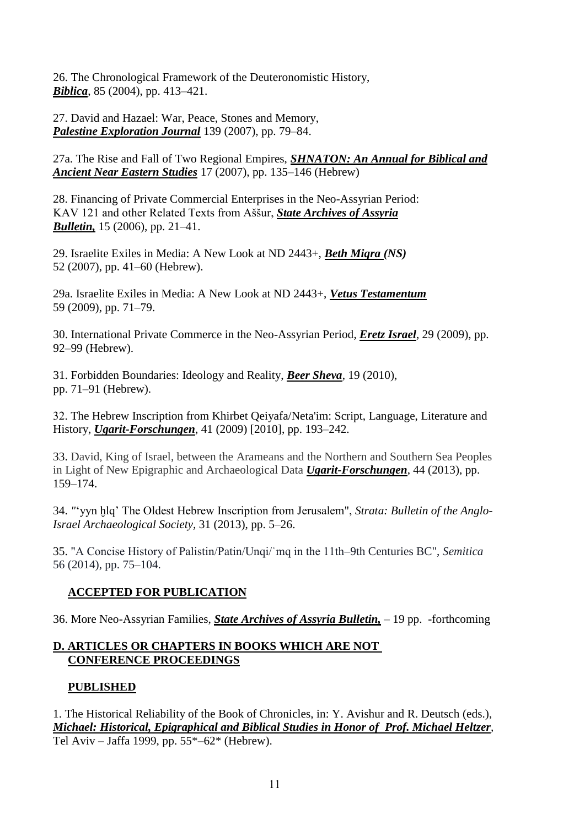26. The Chronological Framework of the Deuteronomistic History, *Biblica*, 85 (2004), pp. 413–421.

27. David and Hazael: War, Peace, Stones and Memory, *Palestine Exploration Journal* 139 (2007), pp. 79–84.

27a. The Rise and Fall of Two Regional Empires, *SHNATON: An Annual for Biblical and Ancient Near Eastern Studies* 17 (2007), pp. 135–146 (Hebrew)

28. Financing of Private Commercial Enterprises in the Neo-Assyrian Period: KAV 121 and other Related Texts from Aššur, *State Archives of Assyria Bulletin,* 15 (2006), pp. 21–41.

29. Israelite Exiles in Media: A New Look at ND 2443+, *Beth Miqra (NS)* 52 (2007), pp. 41–60 (Hebrew).

29a. Israelite Exiles in Media: A New Look at ND 2443+, *Vetus Testamentum* 59 (2009), pp. 71–79.

30. International Private Commerce in the Neo-Assyrian Period, *Eretz Israel*, 29 (2009), pp. 92–99 (Hebrew).

31. Forbidden Boundaries: Ideology and Reality, *Beer Sheva*, 19 (2010), pp. 71–91 (Hebrew).

12. The Hebrew Inscription from Khirbet Qeiyafa/Neta'im: Script, Language, Literature and History, *Ugarit-Forschungen*, 41 (2009) [2010], pp. 193–242.

33. David, King of Israel, between the Arameans and the Northern and Southern Sea Peoples in Light of New Epigraphic and Archaeological Data *Ugarit-Forschungen*, 44 (2013), pp. 159–174.

34. *"*'yyn ḫlq' The Oldest Hebrew Inscription from Jerusalem", *Strata: Bulletin of the Anglo-Israel Archaeological Society,* 31 (2013), pp. 5–26.

35. "A Concise History of Palistin/Patin/Unqi/ʿmq in the 11th–9th Centuries BC", *Semitica* 56 (2014), pp. 75–104.

# **ACCEPTED FOR PUBLICATION**

36. More Neo-Assyrian Families, *State Archives of Assyria Bulletin,* – 19 pp. -forthcoming

# **D. ARTICLES OR CHAPTERS IN BOOKS WHICH ARE NOT CONFERENCE PROCEEDINGS**

# **PUBLISHED**

1. The Historical Reliability of the Book of Chronicles, in: Y. Avishur and R. Deutsch (eds.), *Michael: Historical, Epigraphical and Biblical Studies in Honor of Prof. Michael Heltzer,*  Tel Aviv – Jaffa 1999, pp. 55\*–62\* (Hebrew).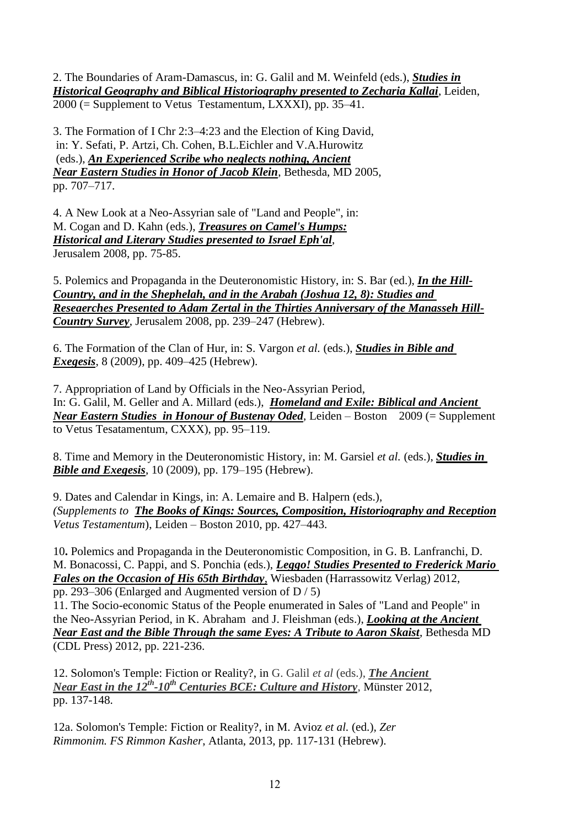2. The Boundaries of Aram-Damascus, in: G. Galil and M. Weinfeld (eds.), *Studies in Historical Geography and Biblical Historiography presented to Zecharia Kallai*, Leiden, 2000 (= Supplement to Vetus Testamentum, LXXXI), pp. 35–41.

3. The Formation of I Chr 2:3–4:23 and the Election of King David, in: Y. Sefati, P. Artzi, Ch. Cohen, B.L.Eichler and V.A.Hurowitz (eds.), *An Experienced Scribe who neglects nothing, Ancient Near Eastern Studies in Honor of Jacob Klein*, Bethesda, MD 2005, pp. 707–717.

4. A New Look at a Neo-Assyrian sale of "Land and People", in: M. Cogan and D. Kahn (eds.), *Treasures on Camel's Humps: Historical and Literary Studies presented to Israel Eph'al*, Jerusalem 2008, pp. 75-85.

5. Polemics and Propaganda in the Deuteronomistic History, in: S. Bar (ed.), *In the Hill-Country, and in the Shephelah, and in the Arabah (Joshua 12, 8): Studies and Reseaerches Presented to Adam Zertal in the Thirties Anniversary of the Manasseh Hill-Country Survey*, Jerusalem 2008, pp. 239–247 (Hebrew).

6. The Formation of the Clan of Hur, in: S. Vargon *et al.* (eds.), *Studies in Bible and Exegesis*, 8 (2009), pp. 409–425 (Hebrew).

7. Appropriation of Land by Officials in the Neo-Assyrian Period, In: G. Galil, M. Geller and A. Millard (eds.), *Homeland and Exile: Biblical and Ancient Near Eastern Studies in Honour of Bustenay Oded*, Leiden – Boston 2009 (= Supplement to Vetus Tesatamentum, CXXX), pp. 95–119.

8. Time and Memory in the Deuteronomistic History, in: M. Garsiel *et al.* (eds.), *Studies in Bible and Exegesis*, 10 (2009), pp. 179–195 (Hebrew).

9. Dates and Calendar in Kings, in: A. Lemaire and B. Halpern (eds.), *(Supplements to The Books of Kings: Sources, Composition, Historiography and Reception Vetus Testamentum*), Leiden – Boston 2010, pp. 427–443.

10**.** Polemics and Propaganda in the Deuteronomistic Composition, in G. B. Lanfranchi, D. M. Bonacossi, C. Pappi, and S. Ponchia (eds.), *Leggo! Studies Presented to Frederick Mario Fales on the Occasion of His 65th Birthday*, Wiesbaden (Harrassowitz Verlag) 2012, pp. 293–306 (Enlarged and Augmented version of D / 5)

11. The Socio-economic Status of the People enumerated in Sales of "Land and People" in the Neo-Assyrian Period, in K. Abraham and J. Fleishman (eds.), *Looking at the Ancient Near East and the Bible Through the same Eyes: A Tribute to Aaron Skaist*, Bethesda MD (CDL Press) 2012, pp. 221-236.

12. Solomon's Temple: Fiction or Reality?, in G. Galil *et al* (eds.), *The Ancient CHE: Culture and History, Münster 2012, <i>Near East in the 12<sup>th</sup>-10<sup>th</sup> Centuries BCE: Culture and History, Münster 2012,* pp. 137-148.

12a. Solomon's Temple: Fiction or Reality?, in M. Avioz *et al.* (ed.)*, Zer Rimmonim. FS Rimmon Kasher*, Atlanta, 2013, pp. 117-131 (Hebrew).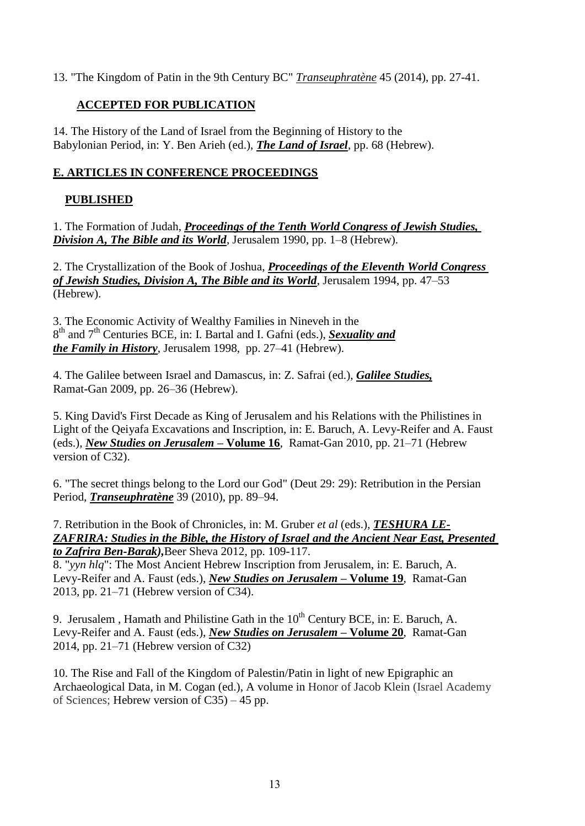13. "The Kingdom of Patin in the 9th Century BC" *Transeuphratène* 45 (2014), pp. 27-41.

# **ACCEPTED FOR PUBLICATION**

14. The History of the Land of Israel from the Beginning of History to the Babylonian Period, in: Y. Ben Arieh (ed.), *The Land of Israel*, pp. 68 (Hebrew).

# **E. ARTICLES IN CONFERENCE PROCEEDINGS**

# **PUBLISHED**

1. The Formation of Judah, *Proceedings of the Tenth World Congress of Jewish Studies, Division A, The Bible and its World*, Jerusalem 1990, pp. 1–8 (Hebrew).

2. The Crystallization of the Book of Joshua, *Proceedings of the Eleventh World Congress of Jewish Studies, Division A, The Bible and its World*, Jerusalem 1994, pp. 47–53 (Hebrew).

3. The Economic Activity of Wealthy Families in Nineveh in the 8<sup>th</sup> and 7<sup>th</sup> Centuries BCE, in: I. Bartal and I. Gafni (eds.), *Sexuality and the Family in History*, Jerusalem 1998, pp. 27–41 (Hebrew).

4. The Galilee between Israel and Damascus, in: Z. Safrai (ed.), *Galilee Studies,* Ramat-Gan 2009, pp. 26–36 (Hebrew).

5. King David's First Decade as King of Jerusalem and his Relations with the Philistines in Light of the Qeiyafa Excavations and Inscription, in: E. Baruch, A. Levy-Reifer and A. Faust (eds.), *New Studies on Jerusalem* **– Volume 16**, Ramat-Gan 2010, pp. 21–71 (Hebrew version of C32).

6. "The secret things belong to the Lord our God" (Deut 29: 29): Retribution in the Persian Period, *Transeuphratène* 39 (2010), pp. 89–94.

7. Retribution in the Book of Chronicles, in: M. Gruber *et al* (eds.), *TESHURA LE-ZAFRIRA: Studies in the Bible, the History of Israel and the Ancient Near East, Presented to Zafrira Ben-Barak),*Beer Sheva 2012, pp. 109-117.

8. "*yyn hlq*": The Most Ancient Hebrew Inscription from Jerusalem, in: E. Baruch, A. Levy-Reifer and A. Faust (eds.), *New Studies on Jerusalem* **– Volume 19**, Ramat-Gan 2013, pp. 21–71 (Hebrew version of C34).

9. Jerusalem , Hamath and Philistine Gath in the  $10<sup>th</sup>$  Century BCE, in: E. Baruch, A. Levy-Reifer and A. Faust (eds.), *New Studies on Jerusalem* **– Volume 20**, Ramat-Gan 2014, pp. 21–71 (Hebrew version of C32)

10. The Rise and Fall of the Kingdom of Palestin/Patin in light of new Epigraphic an Archaeological Data, in M. Cogan (ed.), A volume in Honor of Jacob Klein (Israel Academy of Sciences; Hebrew version of C35) – 45 pp.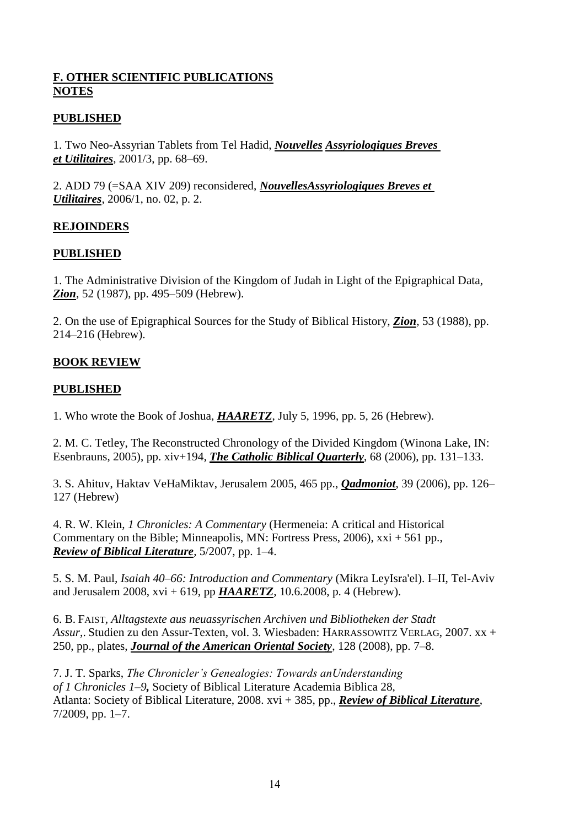# **F. OTHER SCIENTIFIC PUBLICATIONS NOTES**

# **PUBLISHED**

1. Two Neo-Assyrian Tablets from Tel Hadid, *Nouvelles Assyriologiques Breves et Utilitaires*, 2001/3, pp. 68–69.

2. ADD 79 (=SAA XIV 209) reconsidered, *NouvellesAssyriologiques Breves et Utilitaires*, 2006/1, no. 02, p. 2.

# **REJOINDERS**

#### **PUBLISHED**

1. The Administrative Division of the Kingdom of Judah in Light of the Epigraphical Data, *Zion*, 52 (1987), pp. 495–509 (Hebrew).

2. On the use of Epigraphical Sources for the Study of Biblical History, *Zion*, 53 (1988), pp. 214–216 (Hebrew).

# **BOOK REVIEW**

#### **PUBLISHED**

1. Who wrote the Book of Joshua, *HAARETZ*, July 5, 1996, pp. 5, 26 (Hebrew).

2. M. C. Tetley, The Reconstructed Chronology of the Divided Kingdom (Winona Lake, IN: Esenbrauns, 2005), pp. xiv+194*, The Catholic Biblical Quarterly*, 68 (2006), pp. 131–133.

3. S. Ahituv, Haktav VeHaMiktav, Jerusalem 2005, 465 pp., *Qadmoniot*, 39 (2006), pp. 126– 127 (Hebrew)

4. R. W. Klein, *1 Chronicles: A Commentary* (Hermeneia: A critical and Historical Commentary on the Bible; Minneapolis, MN: Fortress Press, 2006), xxi + 561 pp., *Review of Biblical Literature*, 5/2007, pp. 1–4.

5. S. M. Paul*, Isaiah 40–66: Introduction and Commentary* (Mikra LeyIsra'el). I–II, Tel-Aviv and Jerusalem 2008, xvi + 619, pp *HAARETZ*, 10.6.2008, p. 4 (Hebrew).

6. B. FAIST*, Alltagstexte aus neuassyrischen Archiven und Bibliotheken der Stadt Assur*,. Studien zu den Assur-Texten, vol. 3. Wiesbaden: HARRASSOWITZ VERLAG, 2007. xx + 250, pp., plates, *Journal of the American Oriental Society*, 128 (2008), pp. 7–8.

7. J. T. Sparks, *The Chronicler's Genealogies: Towards anUnderstanding of 1 Chronicles 1–9,* Society of Biblical Literature Academia Biblica 28, Atlanta: Society of Biblical Literature, 2008. xvi + 385, pp., *Review of Biblical Literature*, 7/2009, pp. 1–7.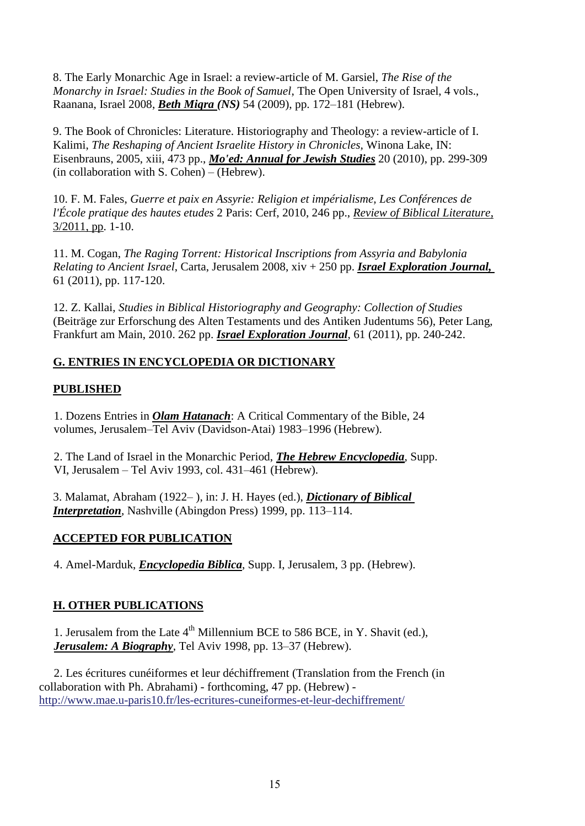8. The Early Monarchic Age in Israel: a review-article of M. Garsiel, *The Rise of the Monarchy in Israel: Studies in the Book of Samuel*, The Open University of Israel, 4 vols., Raanana, Israel 2008, *Beth Miqra (NS)* 54 (2009), pp. 172–181 (Hebrew).

9. The Book of Chronicles: Literature. Historiography and Theology: a review-article of I. Kalimi, *The Reshaping of Ancient Israelite History in Chronicles,* Winona Lake, IN: Eisenbrauns, 2005, xiii, 473 pp., *Mo'ed: Annual for Jewish Studies* 20 (2010), pp. 299-309 (in collaboration with S. Cohen) – (Hebrew).

10. F. M. Fales, *Guerre et paix en Assyrie: Religion et impérialisme, Les Conférences de l'École pratique des hautes etudes* 2 Paris: Cerf, 2010, 246 pp., *Review of Biblical Literature*, 3/2011, pp. 1-10.

11. M. Cogan, *The Raging Torrent: Historical Inscriptions from Assyria and Babylonia Relating to Ancient Israel*, Carta, Jerusalem 2008, xiv + 250 pp. *Israel Exploration Journal,*  61 (2011), pp. 117-120.

12. Z. Kallai, *Studies in Biblical Historiography and Geography: Collection of Studies* (Beiträge zur Erforschung des Alten Testaments und des Antiken Judentums 56), Peter Lang, Frankfurt am Main, 2010. 262 pp. *Israel Exploration Journal*, 61 (2011), pp. 240-242.

# **G. ENTRIES IN ENCYCLOPEDIA OR DICTIONARY**

# **PUBLISHED**

 1. Dozens Entries in *Olam Hatanach*: A Critical Commentary of the Bible, 24 volumes, Jerusalem–Tel Aviv (Davidson-Atai) 1983–1996 (Hebrew).

 2. The Land of Israel in the Monarchic Period, *The Hebrew Encyclopedia*, Supp. VI, Jerusalem – Tel Aviv 1993, col. 431–461 (Hebrew).

3. Malamat, Abraham (1922– ), in: J. H. Hayes (ed.), *Dictionary of Biblical Interpretation*, Nashville (Abingdon Press) 1999, pp. 113–114.

# **ACCEPTED FOR PUBLICATION**

4. Amel-Marduk, *Encyclopedia Biblica*, Supp. I, Jerusalem, 3 pp. (Hebrew).

# **H. OTHER PUBLICATIONS**

1. Jerusalem from the Late  $4<sup>th</sup>$  Millennium BCE to 586 BCE, in Y. Shavit (ed.), *Jerusalem: A Biography*, Tel Aviv 1998, pp. 13–37 (Hebrew).

 2. Les écritures cunéiformes et leur déchiffrement (Translation from the French (in collaboration with Ph. Abrahami) - forthcoming, 47 pp. (Hebrew) <http://www.mae.u-paris10.fr/les-ecritures-cuneiformes-et-leur-dechiffrement/>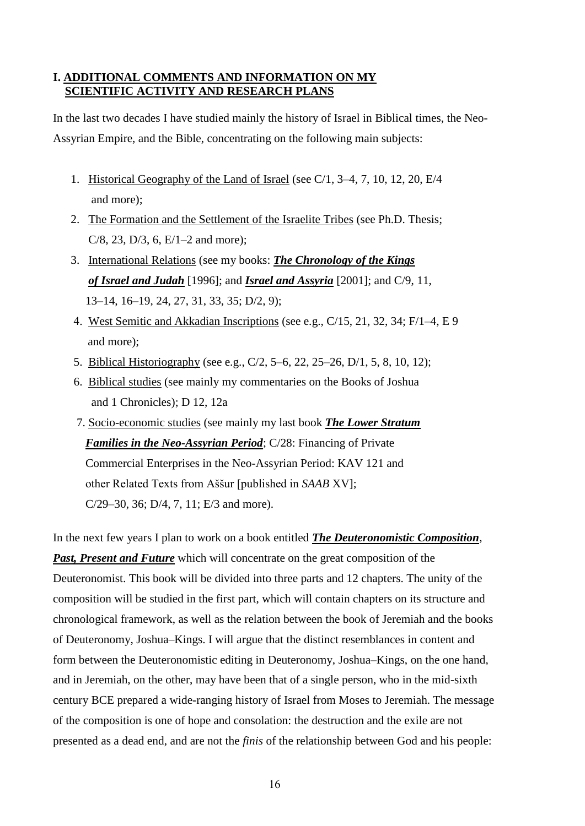# **I. ADDITIONAL COMMENTS AND INFORMATION ON MY SCIENTIFIC ACTIVITY AND RESEARCH PLANS**

In the last two decades I have studied mainly the history of Israel in Biblical times, the Neo-Assyrian Empire, and the Bible, concentrating on the following main subjects:

- 1. Historical Geography of the Land of Israel (see C/1, 3–4, 7, 10, 12, 20, E/4 and more);
- 2. The Formation and the Settlement of the Israelite Tribes (see Ph.D. Thesis; C/8, 23, D/3, 6, E/1–2 and more);
- 3. International Relations (see my books: *The Chronology of the Kings of Israel and Judah* [1996]; and *Israel and Assyria* [2001]; and C/9, 11, 13–14, 16–19, 24, 27, 31, 33, 35; D/2, 9);
- 4. West Semitic and Akkadian Inscriptions (see e.g., C/15, 21, 32, 34; F/1–4, E 9 and more);
- 5. Biblical Historiography (see e.g., C/2, 5–6, 22, 25–26, D/1, 5, 8, 10, 12);
- 6. Biblical studies (see mainly my commentaries on the Books of Joshua and 1 Chronicles); D 12, 12a
- 7. Socio-economic studies (see mainly my last book *The Lower Stratum Families in the Neo-Assyrian Period*; C/28: Financing of Private Commercial Enterprises in the Neo-Assyrian Period: KAV 121 and other Related Texts from Aššur [published in *SAAB* XV]; C/29–30, 36; D/4, 7, 11; E/3 and more).

In the next few years I plan to work on a book entitled *The Deuteronomistic Composition*, *Past, Present and Future* which will concentrate on the great composition of the Deuteronomist. This book will be divided into three parts and 12 chapters. The unity of the composition will be studied in the first part, which will contain chapters on its structure and chronological framework, as well as the relation between the book of Jeremiah and the books of Deuteronomy, Joshua–Kings. I will argue that the distinct resemblances in content and form between the Deuteronomistic editing in Deuteronomy, Joshua–Kings, on the one hand, and in Jeremiah, on the other, may have been that of a single person, who in the mid-sixth century BCE prepared a wide-ranging history of Israel from Moses to Jeremiah. The message of the composition is one of hope and consolation: the destruction and the exile are not presented as a dead end, and are not the *finis* of the relationship between God and his people: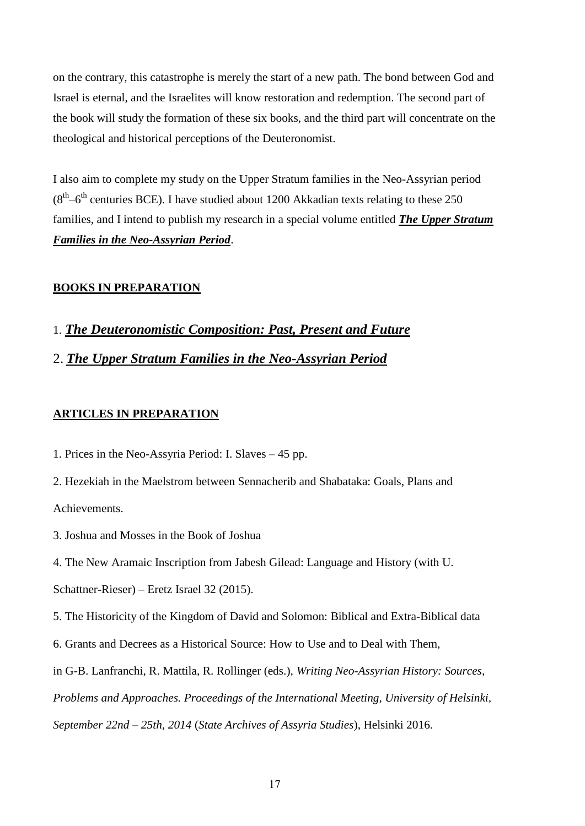on the contrary, this catastrophe is merely the start of a new path. The bond between God and Israel is eternal, and the Israelites will know restoration and redemption. The second part of the book will study the formation of these six books, and the third part will concentrate on the theological and historical perceptions of the Deuteronomist.

I also aim to complete my study on the Upper Stratum families in the Neo-Assyrian period  $(8<sup>th</sup>-6<sup>th</sup>$  centuries BCE). I have studied about 1200 Akkadian texts relating to these 250 families, and I intend to publish my research in a special volume entitled *The Upper Stratum Families in the Neo-Assyrian Period*.

#### **BOOKS IN PREPARATION**

- 1. *The Deuteronomistic Composition: Past, Present and Future*
- 2. *The Upper Stratum Families in the Neo-Assyrian Period*

#### **ARTICLES IN PREPARATION**

- 1. Prices in the Neo-Assyria Period: I. Slaves 45 pp.
- 2. Hezekiah in the Maelstrom between Sennacherib and Shabataka: Goals, Plans and Achievements.
- 3. Joshua and Mosses in the Book of Joshua
- 4. The New Aramaic Inscription from Jabesh Gilead: Language and History (with U.

Schattner-Rieser) – Eretz Israel 32 (2015).

5. The Historicity of the Kingdom of David and Solomon: Biblical and Extra-Biblical data

- 6. Grants and Decrees as a Historical Source: How to Use and to Deal with Them,
- in G-B. Lanfranchi, R. Mattila, R. Rollinger (eds.), *Writing Neo-Assyrian History: Sources,*

*Problems and Approaches. Proceedings of the International Meeting, University of Helsinki,* 

*September 22nd – 25th, 2014* (*State Archives of Assyria Studies*), Helsinki 2016.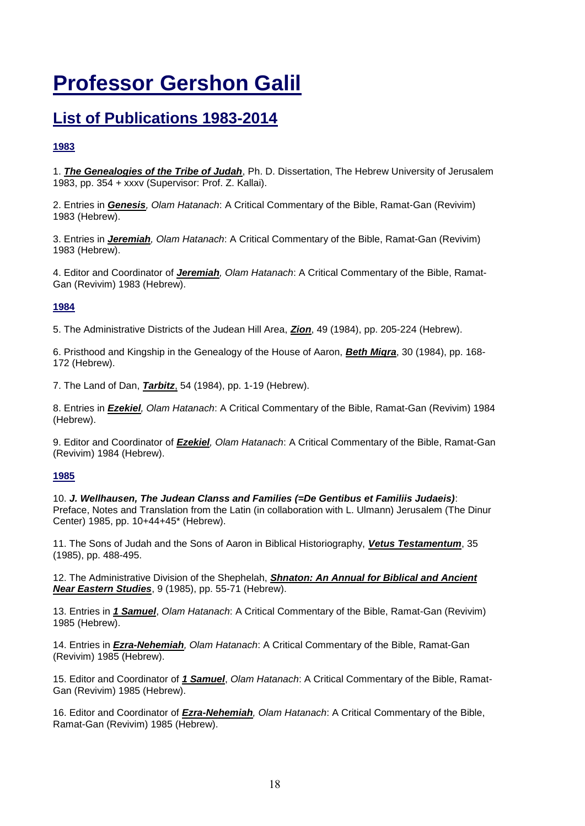# **Professor Gershon Galil**

# **List of Publications 1983-2014**

#### **1983**

1. *The Genealogies of the Tribe of Judah*, Ph. D. Dissertation, The Hebrew University of Jerusalem 1983, pp. 354 + xxxv (Supervisor: Prof. Z. Kallai).

2. Entries in *Genesis, Olam Hatanach*: A Critical Commentary of the Bible, Ramat-Gan (Revivim) 1983 (Hebrew).

3. Entries in *Jeremiah, Olam Hatanach*: A Critical Commentary of the Bible, Ramat-Gan (Revivim) 1983 (Hebrew).

4. Editor and Coordinator of *Jeremiah, Olam Hatanach*: A Critical Commentary of the Bible, Ramat-Gan (Revivim) 1983 (Hebrew).

#### **1984**

5. The Administrative Districts of the Judean Hill Area, *Zion*, 49 (1984), pp. 205-224 (Hebrew).

6. Pristhood and Kingship in the Genealogy of the House of Aaron, *Beth Miqra*, 30 (1984), pp. 168- 172 (Hebrew).

7. The Land of Dan, *Tarbitz*, 54 (1984), pp. 1-19 (Hebrew).

8. Entries in *Ezekiel, Olam Hatanach*: A Critical Commentary of the Bible, Ramat-Gan (Revivim) 1984 (Hebrew).

9. Editor and Coordinator of *Ezekiel, Olam Hatanach*: A Critical Commentary of the Bible, Ramat-Gan (Revivim) 1984 (Hebrew).

#### **1985**

10. *J. Wellhausen, The Judean Clanss and Families (=De Gentibus et Familiis Judaeis)*: Preface, Notes and Translation from the Latin (in collaboration with L. Ulmann) Jerusalem (The Dinur Center) 1985, pp. 10+44+45\* (Hebrew).

11. The Sons of Judah and the Sons of Aaron in Biblical Historiography, *Vetus Testamentum*, 35 (1985), pp. 488-495.

12. The Administrative Division of the Shephelah, *Shnaton: An Annual for Biblical and Ancient Near Eastern Studies*, 9 (1985), pp. 55-71 (Hebrew).

13. Entries in *1 Samuel*, *Olam Hatanach*: A Critical Commentary of the Bible, Ramat-Gan (Revivim) 1985 (Hebrew).

14. Entries in *Ezra-Nehemiah, Olam Hatanach*: A Critical Commentary of the Bible, Ramat-Gan (Revivim) 1985 (Hebrew).

15. Editor and Coordinator of *1 Samuel*, *Olam Hatanach*: A Critical Commentary of the Bible, Ramat-Gan (Revivim) 1985 (Hebrew).

16. Editor and Coordinator of *Ezra-Nehemiah, Olam Hatanach*: A Critical Commentary of the Bible, Ramat-Gan (Revivim) 1985 (Hebrew).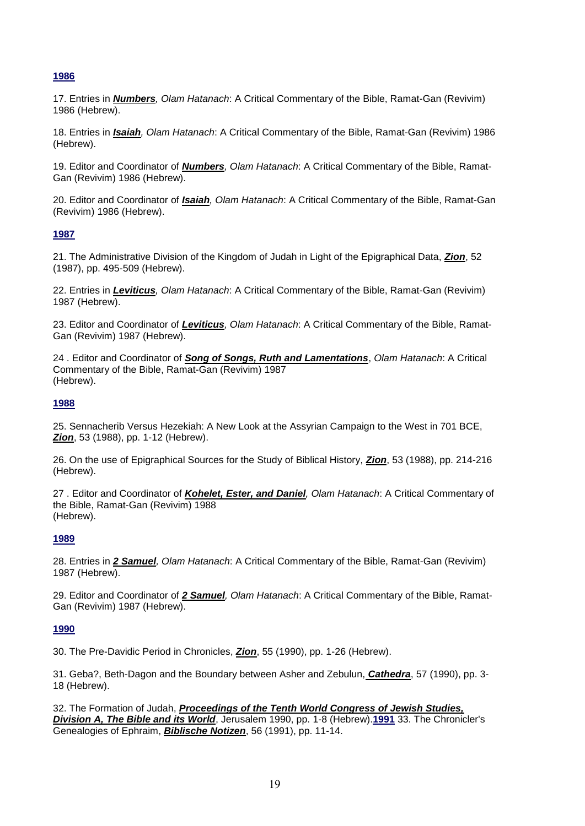17. Entries in *Numbers, Olam Hatanach*: A Critical Commentary of the Bible, Ramat-Gan (Revivim) 1986 (Hebrew).

18. Entries in *Isaiah, Olam Hatanach*: A Critical Commentary of the Bible, Ramat-Gan (Revivim) 1986 (Hebrew).

19. Editor and Coordinator of *Numbers, Olam Hatanach*: A Critical Commentary of the Bible, Ramat-Gan (Revivim) 1986 (Hebrew).

20. Editor and Coordinator of *Isaiah, Olam Hatanach*: A Critical Commentary of the Bible, Ramat-Gan (Revivim) 1986 (Hebrew).

#### **1987**

21. The Administrative Division of the Kingdom of Judah in Light of the Epigraphical Data, *Zion*, 52 (1987), pp. 495-509 (Hebrew).

22. Entries in *Leviticus, Olam Hatanach*: A Critical Commentary of the Bible, Ramat-Gan (Revivim) 1987 (Hebrew).

23. Editor and Coordinator of *Leviticus, Olam Hatanach*: A Critical Commentary of the Bible, Ramat-Gan (Revivim) 1987 (Hebrew).

24 . Editor and Coordinator of *Song of Songs, Ruth and Lamentations*, *Olam Hatanach*: A Critical Commentary of the Bible, Ramat-Gan (Revivim) 1987 (Hebrew).

#### **1988**

25. Sennacherib Versus Hezekiah: A New Look at the Assyrian Campaign to the West in 701 BCE, *Zion*, 53 (1988), pp. 1-12 (Hebrew).

26. On the use of Epigraphical Sources for the Study of Biblical History, *Zion*, 53 (1988), pp. 214-216 (Hebrew).

27 . Editor and Coordinator of *Kohelet, Ester, and Daniel, Olam Hatanach*: A Critical Commentary of the Bible, Ramat-Gan (Revivim) 1988 (Hebrew).

#### **1989**

28. Entries in *2 Samuel, Olam Hatanach*: A Critical Commentary of the Bible, Ramat-Gan (Revivim) 1987 (Hebrew).

29. Editor and Coordinator of *2 Samuel, Olam Hatanach*: A Critical Commentary of the Bible, Ramat-Gan (Revivim) 1987 (Hebrew).

#### **1990**

30. The Pre-Davidic Period in Chronicles, *Zion*, 55 (1990), pp. 1-26 (Hebrew).

31. Geba?, Beth-Dagon and the Boundary between Asher and Zebulun, *Cathedra*, 57 (1990), pp. 3- 18 (Hebrew).

32. The Formation of Judah, *Proceedings of the Tenth World Congress of Jewish Studies, Division A, The Bible and its World*, Jerusalem 1990, pp. 1-8 (Hebrew).**1991** 33. The Chronicler's Genealogies of Ephraim, *Biblische Notizen*, 56 (1991), pp. 11-14.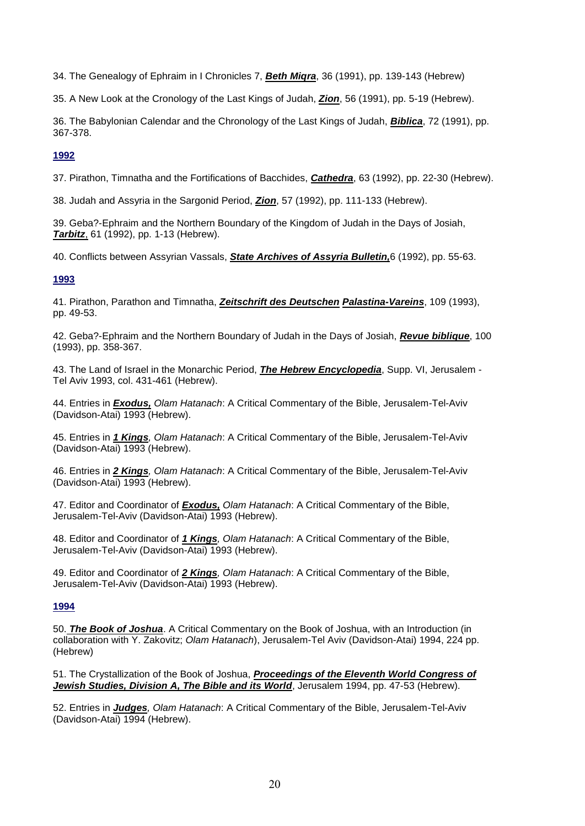34. The Genealogy of Ephraim in I Chronicles 7, *Beth Miqra*, 36 (1991), pp. 139-143 (Hebrew)

35. A New Look at the Cronology of the Last Kings of Judah, *Zion*, 56 (1991), pp. 5-19 (Hebrew).

36. The Babylonian Calendar and the Chronology of the Last Kings of Judah, *Biblica*, 72 (1991), pp. 367-378.

#### **1992**

37. Pirathon, Timnatha and the Fortifications of Bacchides, *Cathedra*, 63 (1992), pp. 22-30 (Hebrew).

38. Judah and Assyria in the Sargonid Period, *Zion*, 57 (1992), pp. 111-133 (Hebrew).

39. Geba?-Ephraim and the Northern Boundary of the Kingdom of Judah in the Days of Josiah, *Tarbitz*, 61 (1992), pp. 1-13 (Hebrew).

40. Conflicts between Assyrian Vassals, *State Archives of Assyria Bulletin,*6 (1992), pp. 55-63.

#### **1993**

41. Pirathon, Parathon and Timnatha, *Zeitschrift des Deutschen Palastina-Vareins*, 109 (1993), pp. 49-53.

42. Geba?-Ephraim and the Northern Boundary of Judah in the Days of Josiah, *Revue biblique*, 100 (1993), pp. 358-367.

43. The Land of Israel in the Monarchic Period, *The Hebrew Encyclopedia*, Supp. VI, Jerusalem - Tel Aviv 1993, col. 431-461 (Hebrew).

44. Entries in *Exodus, Olam Hatanach*: A Critical Commentary of the Bible, Jerusalem-Tel-Aviv (Davidson-Atai) 1993 (Hebrew).

45. Entries in *1 Kings, Olam Hatanach*: A Critical Commentary of the Bible, Jerusalem-Tel-Aviv (Davidson-Atai) 1993 (Hebrew).

46. Entries in *2 Kings, Olam Hatanach*: A Critical Commentary of the Bible, Jerusalem-Tel-Aviv (Davidson-Atai) 1993 (Hebrew).

47. Editor and Coordinator of *Exodus, Olam Hatanach*: A Critical Commentary of the Bible, Jerusalem-Tel-Aviv (Davidson-Atai) 1993 (Hebrew).

48. Editor and Coordinator of *1 Kings, Olam Hatanach*: A Critical Commentary of the Bible, Jerusalem-Tel-Aviv (Davidson-Atai) 1993 (Hebrew).

49. Editor and Coordinator of *2 Kings, Olam Hatanach*: A Critical Commentary of the Bible, Jerusalem-Tel-Aviv (Davidson-Atai) 1993 (Hebrew).

#### **1994**

50. *The Book of Joshua*. A Critical Commentary on the Book of Joshua, with an Introduction (in collaboration with Y. Zakovitz; *Olam Hatanach*), Jerusalem-Tel Aviv (Davidson-Atai) 1994, 224 pp. (Hebrew)

51. The Crystallization of the Book of Joshua, *Proceedings of the Eleventh World Congress of Jewish Studies, Division A, The Bible and its World*, Jerusalem 1994, pp. 47-53 (Hebrew).

52. Entries in *Judges, Olam Hatanach*: A Critical Commentary of the Bible, Jerusalem-Tel-Aviv (Davidson-Atai) 1994 (Hebrew).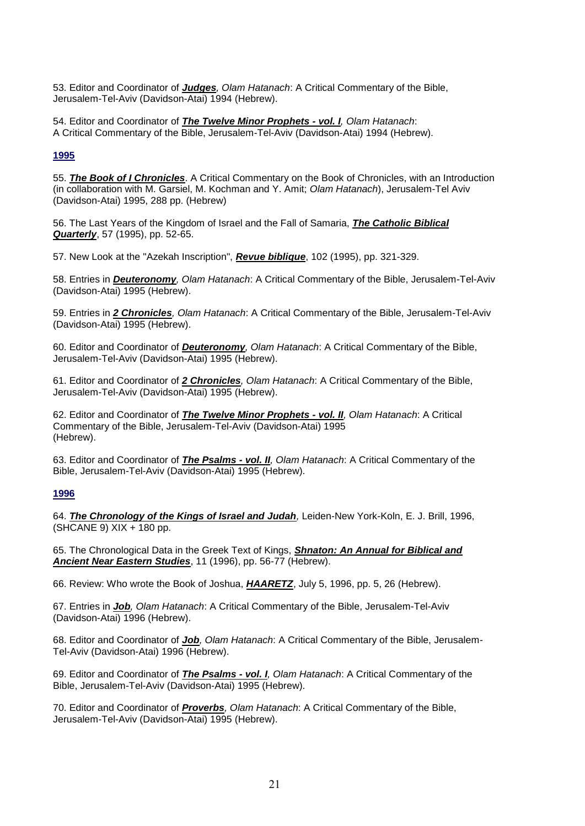53. Editor and Coordinator of *Judges, Olam Hatanach*: A Critical Commentary of the Bible, Jerusalem-Tel-Aviv (Davidson-Atai) 1994 (Hebrew).

54. Editor and Coordinator of *The Twelve Minor Prophets - vol. I, Olam Hatanach*: A Critical Commentary of the Bible, Jerusalem-Tel-Aviv (Davidson-Atai) 1994 (Hebrew).

#### **1995**

55. *The Book of I Chronicles*. A Critical Commentary on the Book of Chronicles, with an Introduction (in collaboration with M. Garsiel, M. Kochman and Y. Amit; *Olam Hatanach*), Jerusalem-Tel Aviv (Davidson-Atai) 1995, 288 pp. (Hebrew)

56. The Last Years of the Kingdom of Israel and the Fall of Samaria, *The Catholic Biblical Quarterly*, 57 (1995), pp. 52-65.

57. New Look at the "Azekah Inscription", *Revue biblique*, 102 (1995), pp. 321-329.

58. Entries in *Deuteronomy, Olam Hatanach*: A Critical Commentary of the Bible, Jerusalem-Tel-Aviv (Davidson-Atai) 1995 (Hebrew).

59. Entries in *2 Chronicles, Olam Hatanach*: A Critical Commentary of the Bible, Jerusalem-Tel-Aviv (Davidson-Atai) 1995 (Hebrew).

60. Editor and Coordinator of *Deuteronomy, Olam Hatanach*: A Critical Commentary of the Bible, Jerusalem-Tel-Aviv (Davidson-Atai) 1995 (Hebrew).

61. Editor and Coordinator of *2 Chronicles, Olam Hatanach*: A Critical Commentary of the Bible, Jerusalem-Tel-Aviv (Davidson-Atai) 1995 (Hebrew).

62. Editor and Coordinator of *The Twelve Minor Prophets - vol. II, Olam Hatanach*: A Critical Commentary of the Bible, Jerusalem-Tel-Aviv (Davidson-Atai) 1995 (Hebrew).

63. Editor and Coordinator of *The Psalms - vol. II, Olam Hatanach*: A Critical Commentary of the Bible, Jerusalem-Tel-Aviv (Davidson-Atai) 1995 (Hebrew).

#### **1996**

64. *The Chronology of the Kings of Israel and Judah,* Leiden-New York-Koln, E. J. Brill, 1996, (SHCANE 9) XIX + 180 pp.

65. The Chronological Data in the Greek Text of Kings, *Shnaton: An Annual for Biblical and Ancient Near Eastern Studies*, 11 (1996), pp. 56-77 (Hebrew).

66. Review: Who wrote the Book of Joshua, *HAARETZ*, July 5, 1996, pp. 5, 26 (Hebrew).

67. Entries in *Job, Olam Hatanach*: A Critical Commentary of the Bible, Jerusalem-Tel-Aviv (Davidson-Atai) 1996 (Hebrew).

68. Editor and Coordinator of *Job, Olam Hatanach*: A Critical Commentary of the Bible, Jerusalem-Tel-Aviv (Davidson-Atai) 1996 (Hebrew).

69. Editor and Coordinator of *The Psalms - vol. I, Olam Hatanach*: A Critical Commentary of the Bible, Jerusalem-Tel-Aviv (Davidson-Atai) 1995 (Hebrew).

70. Editor and Coordinator of *Proverbs, Olam Hatanach*: A Critical Commentary of the Bible, Jerusalem-Tel-Aviv (Davidson-Atai) 1995 (Hebrew).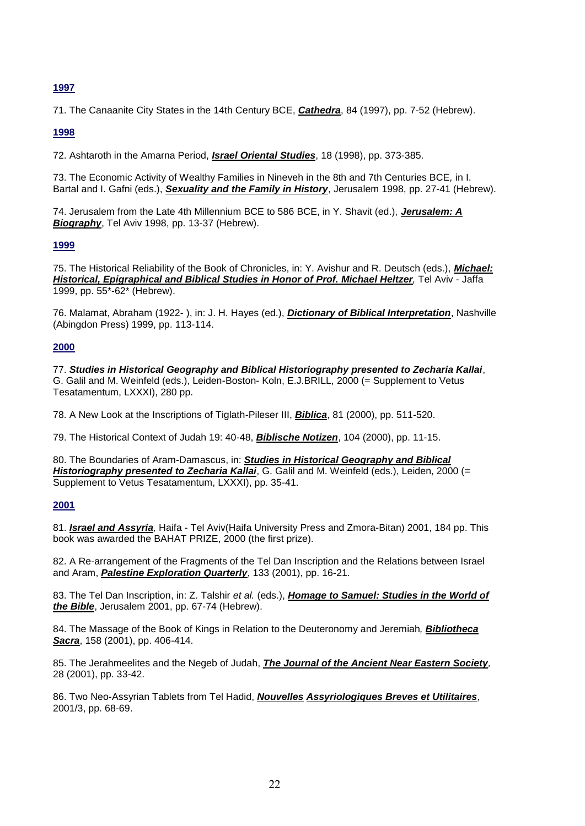71. The Canaanite City States in the 14th Century BCE, *Cathedra*, 84 (1997), pp. 7-52 (Hebrew).

#### **1998**

72. Ashtaroth in the Amarna Period, *Israel Oriental Studies*, 18 (1998), pp. 373-385.

73. The Economic Activity of Wealthy Families in Nineveh in the 8th and 7th Centuries BCE*,* in I. Bartal and I. Gafni (eds.), *Sexuality and the Family in History*, Jerusalem 1998, pp. 27-41 (Hebrew).

74. Jerusalem from the Late 4th Millennium BCE to 586 BCE, in Y. Shavit (ed.), *Jerusalem: A Biography*, Tel Aviv 1998, pp. 13-37 (Hebrew).

#### **1999**

75. The Historical Reliability of the Book of Chronicles, in: Y. Avishur and R. Deutsch (eds.), *Michael: Historical, Epigraphical and Biblical Studies in Honor of Prof. Michael Heltzer,* Tel Aviv - Jaffa 1999, pp. 55\*-62\* (Hebrew).

76. Malamat, Abraham (1922- ), in: J. H. Hayes (ed.), *Dictionary of Biblical Interpretation*, Nashville (Abingdon Press) 1999, pp. 113-114.

#### **2000**

77. *Studies in Historical Geography and Biblical Historiography presented to Zecharia Kallai*, G. Galil and M. Weinfeld (eds.), Leiden-Boston- Koln, E.J.BRILL, 2000 (= Supplement to Vetus Tesatamentum, LXXXI), 280 pp.

78. A New Look at the Inscriptions of Tiglath-Pileser III, *Biblica*, 81 (2000), pp. 511-520.

79. The Historical Context of Judah 19: 40-48, *Biblische Notizen*, 104 (2000), pp. 11-15.

80. The Boundaries of Aram-Damascus, in: *Studies in Historical Geography and Biblical Historiography presented to Zecharia Kallai*, G. Galil and M. Weinfeld (eds.), Leiden, 2000 (= Supplement to Vetus Tesatamentum, LXXXI), pp. 35-41.

#### **2001**

81. *Israel and Assyria,* Haifa - Tel Aviv(Haifa University Press and Zmora-Bitan) 2001, 184 pp. This book was awarded the BAHAT PRIZE, 2000 (the first prize).

82. A Re-arrangement of the Fragments of the Tel Dan Inscription and the Relations between Israel and Aram, *Palestine Exploration Quarterly*, 133 (2001), pp. 16-21.

83. The Tel Dan Inscription, in: Z. Talshir *et al.* (eds.), *Homage to Samuel: Studies in the World of the Bible*, Jerusalem 2001, pp. 67-74 (Hebrew).

84. The Massage of the Book of Kings in Relation to the Deuteronomy and Jeremiah*, Bibliotheca Sacra*, 158 (2001), pp. 406-414.

85. The Jerahmeelites and the Negeb of Judah, *The Journal of the Ancient Near Eastern Society,*  28 (2001), pp. 33-42.

86. Two Neo-Assyrian Tablets from Tel Hadid, *Nouvelles Assyriologiques Breves et Utilitaires*, 2001/3, pp. 68-69.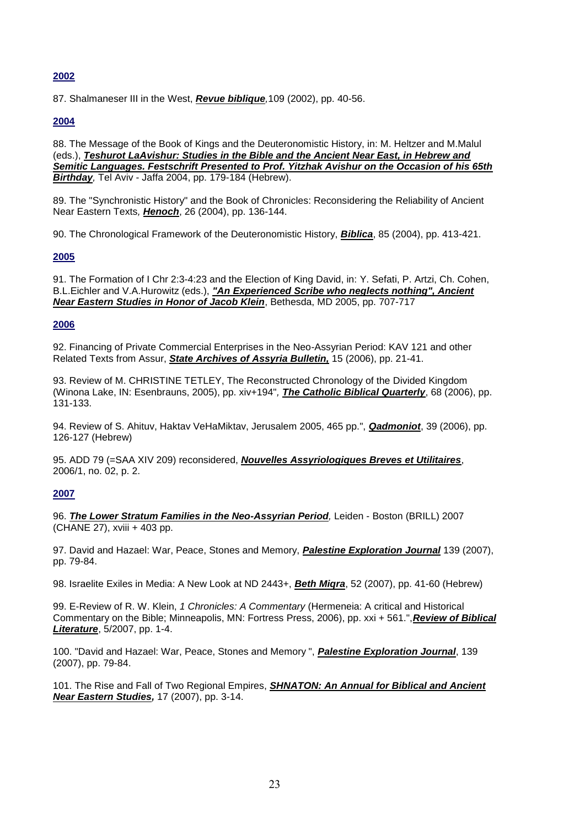87. Shalmaneser III in the West, *Revue biblique,*109 (2002), pp. 40-56.

#### **2004**

88. The Message of the Book of Kings and the Deuteronomistic History, in: M. Heltzer and M.Malul (eds.), *Teshurot LaAvishur: Studies in the Bible and the Ancient Near East, in Hebrew and Semitic Languages. Festschrift Presented to Prof. Yitzhak Avishur on the Occasion of his 65th Birthday,* Tel Aviv - Jaffa 2004, pp. 179-184 (Hebrew).

89. The "Synchronistic History" and the Book of Chronicles: Reconsidering the Reliability of Ancient Near Eastern Texts*, Henoch*, 26 (2004), pp. 136-144.

90. The Chronological Framework of the Deuteronomistic History, *Biblica*, 85 (2004), pp. 413-421.

#### **2005**

91. The Formation of I Chr 2:3-4:23 and the Election of King David, in: Y. Sefati, P. Artzi, Ch. Cohen, B.L.Eichler and V.A.Hurowitz (eds.), *"An Experienced Scribe who neglects nothing", Ancient Near Eastern Studies in Honor of Jacob Klein*, Bethesda, MD 2005, pp. 707-717

#### **2006**

92. Financing of Private Commercial Enterprises in the Neo-Assyrian Period: KAV 121 and other Related Texts from Assur, *State Archives of Assyria Bulletin,* 15 (2006), pp. 21-41.

93. Review of M. CHRISTINE TETLEY, The Reconstructed Chronology of the Divided Kingdom (Winona Lake, IN: Esenbrauns, 2005), pp. xiv+194"*, The Catholic Biblical Quarterly*, 68 (2006), pp. 131-133.

94. Review of S. Ahituv, Haktav VeHaMiktav, Jerusalem 2005, 465 pp.", *Qadmoniot*, 39 (2006), pp. 126-127 (Hebrew)

95. ADD 79 (=SAA XIV 209) reconsidered, *Nouvelles Assyriologiques Breves et Utilitaires*, 2006/1, no. 02, p. 2.

#### **2007**

96. *The Lower Stratum Families in the Neo-Assyrian Period,* Leiden - Boston (BRILL) 2007 (CHANE 27), xviii + 403 pp.

97. David and Hazael: War, Peace, Stones and Memory, *Palestine Exploration Journal* 139 (2007), pp. 79-84.

98. Israelite Exiles in Media: A New Look at ND 2443+, *Beth Miqra*, 52 (2007), pp. 41-60 (Hebrew)

99. E-Review of R. W. Klein, *1 Chronicles: A Commentary* (Hermeneia: A critical and Historical Commentary on the Bible; Minneapolis, MN: Fortress Press, 2006), pp. xxi + 561.",*Review of Biblical Literature*, 5/2007, pp. 1-4.

100. "David and Hazael: War, Peace, Stones and Memory ", *Palestine Exploration Journal*, 139 (2007), pp. 79-84.

101. The Rise and Fall of Two Regional Empires, *SHNATON: An Annual for Biblical and Ancient Near Eastern Studies,* 17 (2007), pp. 3-14.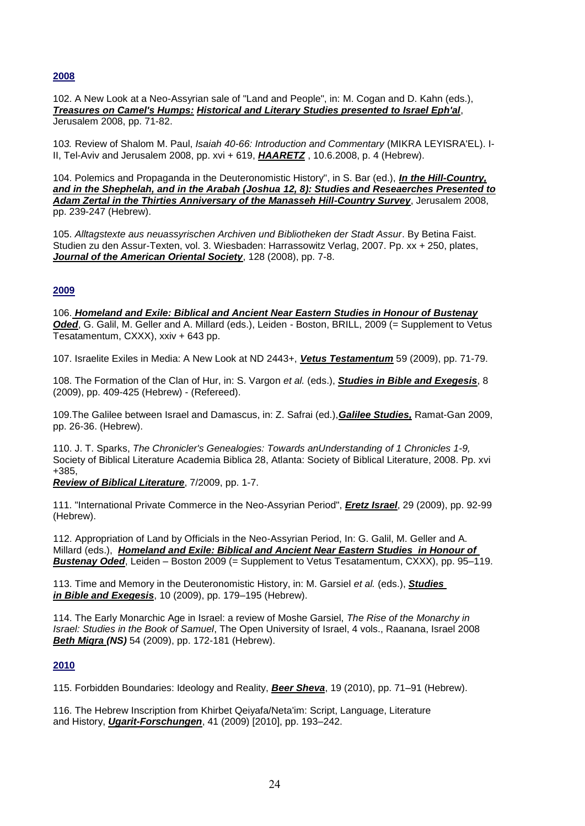102. A New Look at a Neo-Assyrian sale of "Land and People", in: M. Cogan and D. Kahn (eds.), *Treasures on Camel's Humps: Historical and Literary Studies presented to Israel Eph'al*, Jerusalem 2008, pp. 71-82.

10*3.* Review of Shalom M. Paul, *Isaiah 40-66: Introduction and Commentary* (MIKRA LEYISRA'EL). I-II, Tel-Aviv and Jerusalem 2008, pp. xvi + 619, *HAARETZ* , 10.6.2008, p. 4 (Hebrew).

104. Polemics and Propaganda in the Deuteronomistic History", in S. Bar (ed.), *In the Hill-Country, and in the Shephelah, and in the Arabah (Joshua 12, 8): Studies and Reseaerches Presented to Adam Zertal in the Thirties Anniversary of the Manasseh Hill-Country Survey*, Jerusalem 2008, pp. 239-247 (Hebrew).

105. *Alltagstexte aus neuassyrischen Archiven und Bibliotheken der Stadt Assur*. By Betina Faist. Studien zu den Assur-Texten, vol. 3. Wiesbaden: Harrassowitz Verlag, 2007. Pp. xx + 250, plates, *Journal of the American Oriental Society*, 128 (2008), pp. 7-8.

#### **2009**

106. *Homeland and Exile: Biblical and Ancient Near Eastern Studies in Honour of Bustenay Oded*, G. Galil, M. Geller and A. Millard (eds.), Leiden - Boston, BRILL, 2009 (= Supplement to Vetus Tesatamentum, CXXX), xxiv + 643 pp.

107. Israelite Exiles in Media: A New Look at ND 2443+, *Vetus Testamentum* 59 (2009), pp. 71-79.

108. The Formation of the Clan of Hur, in: S. Vargon *et al.* (eds.), *Studies in Bible and Exegesis*, 8 (2009), pp. 409-425 (Hebrew) - (Refereed).

109.The Galilee between Israel and Damascus, in: Z. Safrai (ed.),*Galilee Studies,* Ramat-Gan 2009, pp. 26-36. (Hebrew).

110. J. T. Sparks, *The Chronicler's Genealogies: Towards anUnderstanding of 1 Chronicles 1-9,*  Society of Biblical Literature Academia Biblica 28, Atlanta: Society of Biblical Literature, 2008. Pp. xvi +385,

*Review of Biblical Literature*, 7/2009, pp. 1-7.

111. "International Private Commerce in the Neo-Assyrian Period", *Eretz Israel*, 29 (2009), pp. 92-99 (Hebrew).

112. Appropriation of Land by Officials in the Neo-Assyrian Period, In: G. Galil, M. Geller and A. Millard (eds.), *Homeland and Exile: Biblical and Ancient Near Eastern Studies in Honour of Bustenay Oded*, Leiden – Boston 2009 (= Supplement to Vetus Tesatamentum, CXXX), pp. 95–119.

113. Time and Memory in the Deuteronomistic History, in: M. Garsiel *et al.* (eds.), *Studies in Bible and Exegesis*, 10 (2009), pp. 179–195 (Hebrew).

114. The Early Monarchic Age in Israel: a review of Moshe Garsiel, *The Rise of the Monarchy in Israel: Studies in the Book of Samuel*, The Open University of Israel, 4 vols., Raanana, Israel 2008 *Beth Miqra (NS)* 54 (2009), pp. 172-181 (Hebrew).

#### **2010**

115. Forbidden Boundaries: Ideology and Reality, *Beer Sheva*, 19 (2010), pp. 71–91 (Hebrew).

116. The Hebrew Inscription from Khirbet Qeiyafa/Neta'im: Script, Language, Literature and History, *Ugarit-Forschungen*, 41 (2009) [2010], pp. 193–242.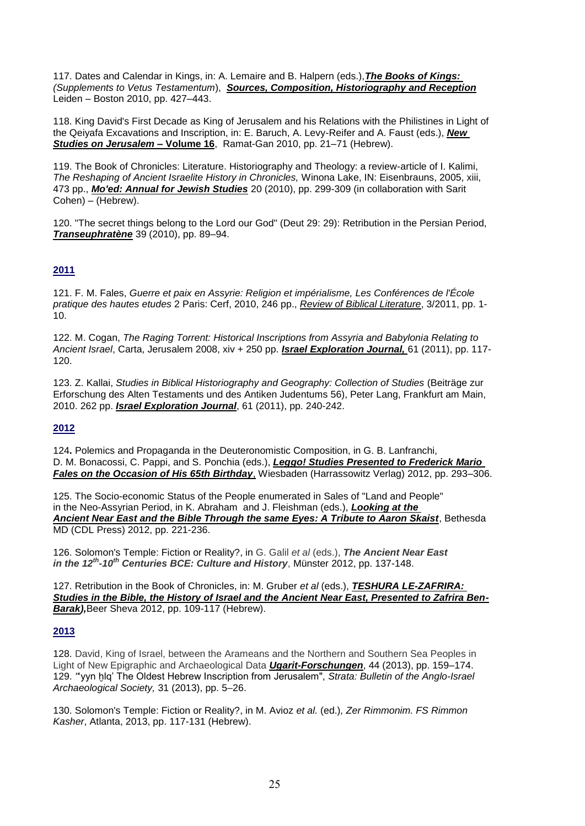117. Dates and Calendar in Kings, in: A. Lemaire and B. Halpern (eds.),*The Books of Kings: (Supplements to Vetus Testamentum*), *Sources, Composition, Historiography and Reception* Leiden – Boston 2010, pp. 427–443.

118. King David's First Decade as King of Jerusalem and his Relations with the Philistines in Light of the Qeiyafa Excavations and Inscription, in: E. Baruch, A. Levy-Reifer and A. Faust (eds.), *New Studies on Jerusalem* **– Volume 16**, Ramat-Gan 2010, pp. 21–71 (Hebrew).

119. The Book of Chronicles: Literature. Historiography and Theology: a review-article of I. Kalimi, *The Reshaping of Ancient Israelite History in Chronicles,* Winona Lake, IN: Eisenbrauns, 2005, xiii, 473 pp., *Mo'ed: Annual for Jewish Studies* 20 (2010), pp. 299-309 (in collaboration with Sarit Cohen) – (Hebrew).

120. "The secret things belong to the Lord our God" (Deut 29: 29): Retribution in the Persian Period, *Transeuphratène* 39 (2010), pp. 89–94.

#### **2011**

121. F. M. Fales, *Guerre et paix en Assyrie: Religion et impérialisme, Les Conférences de l'École pratique des hautes etudes* 2 Paris: Cerf, 2010, 246 pp., *Review of Biblical Literature*, 3/2011, pp. 1- 10.

122. M. Cogan, *The Raging Torrent: Historical Inscriptions from Assyria and Babylonia Relating to Ancient Israel*, Carta, Jerusalem 2008, xiv + 250 pp. *Israel Exploration Journal,* 61 (2011), pp. 117- 120.

123. Z. Kallai, *Studies in Biblical Historiography and Geography: Collection of Studies* (Beiträge zur Erforschung des Alten Testaments und des Antiken Judentums 56), Peter Lang, Frankfurt am Main, 2010. 262 pp. *Israel Exploration Journal*, 61 (2011), pp. 240-242.

#### **2012**

124**.** Polemics and Propaganda in the Deuteronomistic Composition, in G. B. Lanfranchi, D. M. Bonacossi, C. Pappi, and S. Ponchia (eds.), *Leggo! Studies Presented to Frederick Mario Fales on the Occasion of His 65th Birthday*, Wiesbaden (Harrassowitz Verlag) 2012, pp. 293–306.

125. The Socio-economic Status of the People enumerated in Sales of "Land and People" in the Neo-Assyrian Period, in K. Abraham and J. Fleishman (eds.), *Looking at the Ancient Near East and the Bible Through the same Eyes: A Tribute to Aaron Skaist*, Bethesda MD (CDL Press) 2012, pp. 221-236.

126. Solomon's Temple: Fiction or Reality?, in G. Galil *et al* (eds.), *The Ancient Near East in the 12th -10th Centuries BCE: Culture and History*, Münster 2012, pp. 137-148.

127. Retribution in the Book of Chronicles, in: M. Gruber *et al* (eds.), *TESHURA LE-ZAFRIRA: Studies in the Bible, the History of Israel and the Ancient Near East, Presented to Zafrira Ben-Barak),*Beer Sheva 2012, pp. 109-117 (Hebrew).

#### **2013**

128. David, King of Israel, between the Arameans and the Northern and Southern Sea Peoples in Light of New Epigraphic and Archaeological Data *Ugarit-Forschungen*, 44 (2013), pp. 159–174. 129. *"*'yyn ḫlq' The Oldest Hebrew Inscription from Jerusalem", *Strata: Bulletin of the Anglo-Israel Archaeological Society,* 31 (2013), pp. 5–26.

130. Solomon's Temple: Fiction or Reality?, in M. Avioz *et al.* (ed.)*, Zer Rimmonim. FS Rimmon Kasher*, Atlanta, 2013, pp. 117-131 (Hebrew).